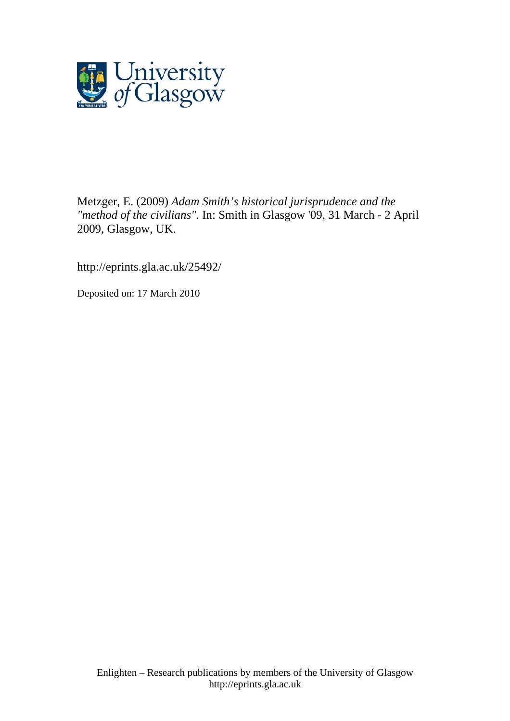

Metzger, E. (2009) *Adam Smith's historical jurisprudence and the "method of the civilians".* In: Smith in Glasgow '09, 31 March - 2 April 2009, Glasgow, UK.

http://eprints.gla.ac.uk/25492/

Deposited on: 17 March 2010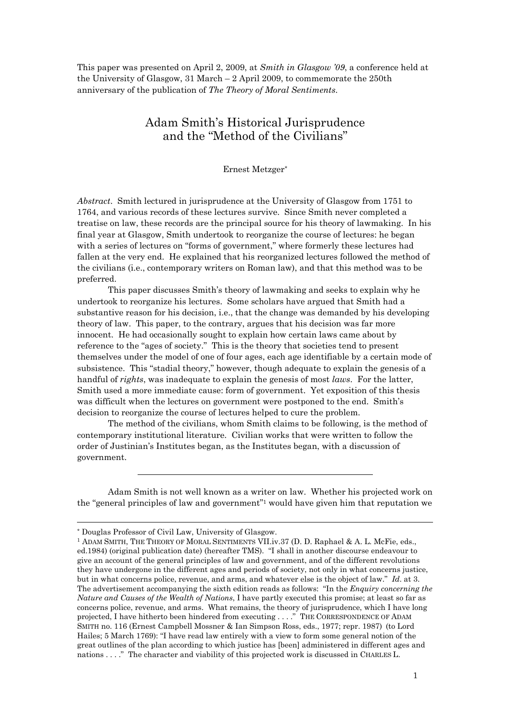This paper was presented on April 2, 2009, at *Smith in Glasgow '09*, a conference held at the University of Glasgow, 31 March – 2 April 2009, to commemorate the 250th anniversary of the publication of *The Theory of Moral Sentiments*.

# Adam Smith's Historical Jurisprudence and the "Method of the Civilians"

Ernest Metzger\*

*Abstract*. Smith lectured in jurisprudence at the University of Glasgow from 1751 to 1764, and various records of these lectures survive. Since Smith never completed a treatise on law, these records are the principal source for his theory of lawmaking. In his final year at Glasgow, Smith undertook to reorganize the course of lectures: he began with a series of lectures on "forms of government," where formerly these lectures had fallen at the very end. He explained that his reorganized lectures followed the method of the civilians (i.e., contemporary writers on Roman law), and that this method was to be preferred.

 This paper discusses Smith's theory of lawmaking and seeks to explain why he undertook to reorganize his lectures. Some scholars have argued that Smith had a substantive reason for his decision, i.e., that the change was demanded by his developing theory of law. This paper, to the contrary, argues that his decision was far more innocent. He had occasionally sought to explain how certain laws came about by reference to the "ages of society." This is the theory that societies tend to present themselves under the model of one of four ages, each age identifiable by a certain mode of subsistence. This "stadial theory," however, though adequate to explain the genesis of a handful of *rights*, was inadequate to explain the genesis of most *laws*. For the latter, Smith used a more immediate cause: form of government. Yet exposition of this thesis was difficult when the lectures on government were postponed to the end. Smith's decision to reorganize the course of lectures helped to cure the problem.

 The method of the civilians, whom Smith claims to be following, is the method of contemporary institutional literature. Civilian works that were written to follow the order of Justinian's Institutes began, as the Institutes began, with a discussion of government.

Adam Smith is not well known as a writer on law. Whether his projected work on the "general principles of law and government"1 would have given him that reputation we

<sup>\*</sup> Douglas Professor of Civil Law, University of Glasgow.

<sup>1</sup> ADAM SMITH, THE THEORY OF MORAL SENTIMENTS VII.iv.37 (D. D. Raphael & A. L. McFie, eds., ed.1984) (original publication date) (hereafter TMS). "I shall in another discourse endeavour to give an account of the general principles of law and government, and of the different revolutions they have undergone in the different ages and periods of society, not only in what concerns justice, but in what concerns police, revenue, and arms, and whatever else is the object of law." *Id*. at 3. The advertisement accompanying the sixth edition reads as follows: "In the *Enquiry concerning the Nature and Causes of the Wealth of Nations*, I have partly executed this promise; at least so far as concerns police, revenue, and arms. What remains, the theory of jurisprudence, which I have long projected, I have hitherto been hindered from executing . . . ." THE CORRESPONDENCE OF ADAM SMITH no. 116 (Ernest Campbell Mossner & Ian Simpson Ross, eds., 1977; repr. 1987) (to Lord Hailes; 5 March 1769): "I have read law entirely with a view to form some general notion of the great outlines of the plan according to which justice has [been] administered in different ages and nations . . . ." The character and viability of this projected work is discussed in CHARLES L.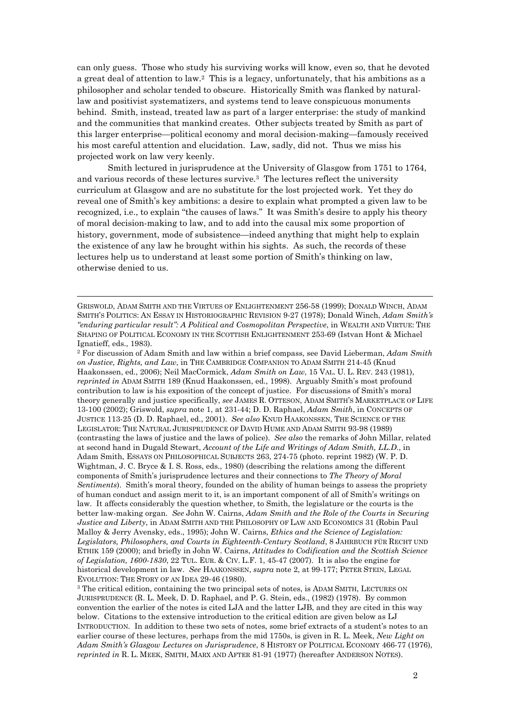can only guess. Those who study his surviving works will know, even so, that he devoted a great deal of attention to law.2 This is a legacy, unfortunately, that his ambitions as a philosopher and scholar tended to obscure. Historically Smith was flanked by naturallaw and positivist systematizers, and systems tend to leave conspicuous monuments behind. Smith, instead, treated law as part of a larger enterprise: the study of mankind and the communities that mankind creates. Other subjects treated by Smith as part of this larger enterprise—political economy and moral decision-making—famously received his most careful attention and elucidation. Law, sadly, did not. Thus we miss his projected work on law very keenly.

 Smith lectured in jurisprudence at the University of Glasgow from 1751 to 1764, and various records of these lectures survive.3 The lectures reflect the university curriculum at Glasgow and are no substitute for the lost projected work. Yet they do reveal one of Smith's key ambitions: a desire to explain what prompted a given law to be recognized, i.e., to explain "the causes of laws." It was Smith's desire to apply his theory of moral decision-making to law, and to add into the causal mix some proportion of history, government, mode of subsistence—indeed anything that might help to explain the existence of any law he brought within his sights. As such, the records of these lectures help us to understand at least some portion of Smith's thinking on law, otherwise denied to us.

 $\overline{a}$ 

2 For discussion of Adam Smith and law within a brief compass, see David Lieberman, *Adam Smith on Justice, Rights, and Law*, in THE CAMBRIDGE COMPANION TO ADAM SMITH 214-45 (Knud Haakonssen, ed., 2006); Neil MacCormick, *Adam Smith on Law*, 15 VAL. U. L. REV. 243 (1981), *reprinted in* ADAM SMITH 189 (Knud Haakonssen, ed., 1998). Arguably Smith's most profound contribution to law is his exposition of the concept of justice. For discussions of Smith's moral theory generally and justice specifically, *see* JAMES R. OTTESON, ADAM SMITH'S MARKETPLACE OF LIFE 13-100 (2002); Griswold, *supra* note 1, at 231-44; D. D. Raphael, *Adam Smith*, in CONCEPTS OF JUSTICE 113-25 (D. D. Raphael, ed., 2001). *See also* KNUD HAAKONSSEN, THE SCIENCE OF THE LEGISLATOR: THE NATURAL JURISPRUDENCE OF DAVID HUME AND ADAM SMITH 93-98 (1989) (contrasting the laws of justice and the laws of police). *See also* the remarks of John Millar, related at second hand in Dugald Stewart, *Account of the Life and Writings of Adam Smith, LL.D*., in Adam Smith, ESSAYS ON PHILOSOPHICAL SUBJECTS 263, 274-75 (photo. reprint 1982) (W. P. D. Wightman, J. C. Bryce & I. S. Ross, eds., 1980) (describing the relations among the different components of Smith's jurisprudence lectures and their connections to *The Theory of Moral Sentiments*). Smith's moral theory, founded on the ability of human beings to assess the propriety of human conduct and assign merit to it, is an important component of all of Smith's writings on law. It affects considerably the question whether, to Smith, the legislature or the courts is the better law-making organ. *See* John W. Cairns, *Adam Smith and the Role of the Courts in Securing Justice and Liberty*, in ADAM SMITH AND THE PHILOSOPHY OF LAW AND ECONOMICS 31 (Robin Paul Malloy & Jerry Avensky, eds., 1995); John W. Cairns, *Ethics and the Science of Legislation: Legislators, Philosophers, and Courts in Eighteenth-Century Scotland*, 8 JAHRBUCH FÜR RECHT UND ETHIK 159 (2000); and briefly in John W. Cairns, *Attitudes to Codification and the Scottish Science of Legislation, 1600-1830*, 22 TUL. EUR. & CIV. L.F. 1, 45-47 (2007). It is also the engine for historical development in law. *See* HAAKONSSEN, *supra* note 2, at 99-177; PETER STEIN, LEGAL EVOLUTION: THE STORY OF AN IDEA 29-46 (1980). 3 The critical edition, containing the two principal sets of notes, is ADAM SMITH, LECTURES ON

JURISPRUDENCE (R. L. Meek, D. D. Raphael, and P. G. Stein, eds., (1982) (1978). By common convention the earlier of the notes is cited LJA and the latter LJB, and they are cited in this way below. Citations to the extensive introduction to the critical edition are given below as LJ INTRODUCTION. In addition to these two sets of notes, some brief extracts of a student's notes to an earlier course of these lectures, perhaps from the mid 1750s, is given in R. L. Meek, *New Light on Adam Smith's Glasgow Lectures on Jurisprudence*, 8 HISTORY OF POLITICAL ECONOMY 466-77 (1976), *reprinted in* R. L. MEEK, SMITH, MARX AND AFTER 81-91 (1977) (hereafter ANDERSON NOTES).

GRISWOLD, ADAM SMITH AND THE VIRTUES OF ENLIGHTENMENT 256-58 (1999); DONALD WINCH, ADAM SMITH'S POLITICS: AN ESSAY IN HISTORIOGRAPHIC REVISION 9-27 (1978); Donald Winch, *Adam Smith's "enduring particular result": A Political and Cosmopolitan Perspective*, in WEALTH AND VIRTUE: THE SHAPING OF POLITICAL ECONOMY IN THE SCOTTISH ENLIGHTENMENT 253-69 (Istvan Hont & Michael Ignatieff, eds., 1983).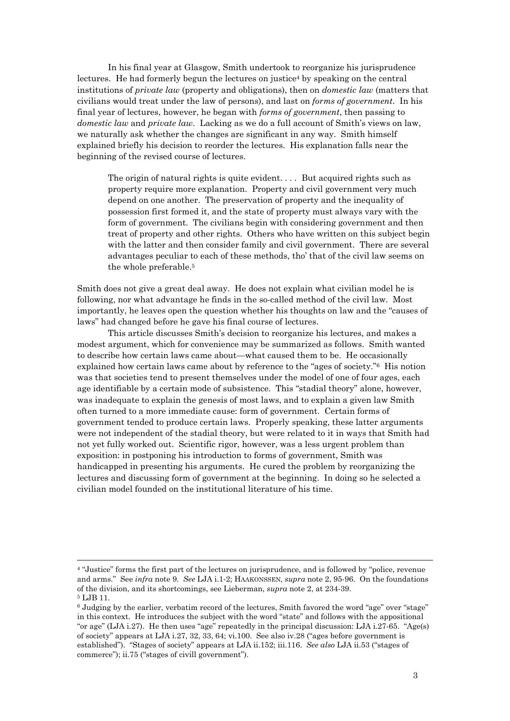In his final year at Glasgow, Smith undertook to reorganize his jurisprudence lectures. He had formerly begun the lectures on justice<sup>4</sup> by speaking on the central institutions of *private law* (property and obligations), then on *domestic law* (matters that civilians would treat under the law of persons), and last on *forms of government*. In his final year of lectures, however, he began with *forms of government*, then passing to *domestic law* and *private law*. Lacking as we do a full account of Smith's views on law, we naturally ask whether the changes are significant in any way. Smith himself explained briefly his decision to reorder the lectures. His explanation falls near the beginning of the revised course of lectures.

The origin of natural rights is quite evident. . . . But acquired rights such as property require more explanation. Property and civil government very much depend on one another. The preservation of property and the inequality of possession first formed it, and the state of property must always vary with the form of government. The civilians begin with considering government and then treat of property and other rights. Others who have written on this subject begin with the latter and then consider family and civil government. There are several advantages peculiar to each of these methods, tho' that of the civil law seems on the whole preferable.5

Smith does not give a great deal away. He does not explain what civilian model he is following, nor what advantage he finds in the so-called method of the civil law. Most importantly, he leaves open the question whether his thoughts on law and the "causes of laws" had changed before he gave his final course of lectures.

 This article discusses Smith's decision to reorganize his lectures, and makes a modest argument, which for convenience may be summarized as follows. Smith wanted to describe how certain laws came about—what caused them to be. He occasionally explained how certain laws came about by reference to the "ages of society."6 His notion was that societies tend to present themselves under the model of one of four ages, each age identifiable by a certain mode of subsistence. This "stadial theory" alone, however, was inadequate to explain the genesis of most laws, and to explain a given law Smith often turned to a more immediate cause: form of government. Certain forms of government tended to produce certain laws. Properly speaking, these latter arguments were not independent of the stadial theory, but were related to it in ways that Smith had not yet fully worked out. Scientific rigor, however, was a less urgent problem than exposition: in postponing his introduction to forms of government, Smith was handicapped in presenting his arguments. He cured the problem by reorganizing the lectures and discussing form of government at the beginning. In doing so he selected a civilian model founded on the institutional literature of his time.

<sup>4 &</sup>quot;Justice" forms the first part of the lectures on jurisprudence, and is followed by "police, revenue and arms." See *infra* note 9. *See* LJA i.1-2; HAAKONSSEN, *supra* note 2, 95-96. On the foundations of the division, and its shortcomings, see Lieberman, *supra* note 2, at 234-39. 5 LJB 11.

<sup>6</sup> Judging by the earlier, verbatim record of the lectures, Smith favored the word "age" over "stage" in this context. He introduces the subject with the word "state" and follows with the appositional "or age" (LJA i.27). He then uses "age" repeatedly in the principal discussion: LJA i.27-65. "Age(s) of society" appears at LJA i.27, 32, 33, 64; vi.100. See also iv.28 ("ages before government is established"). "Stages of society" appears at LJA ii.152; iii.116. *See also* LJA ii.53 ("stages of commerce"); ii.75 ("stages of civill government").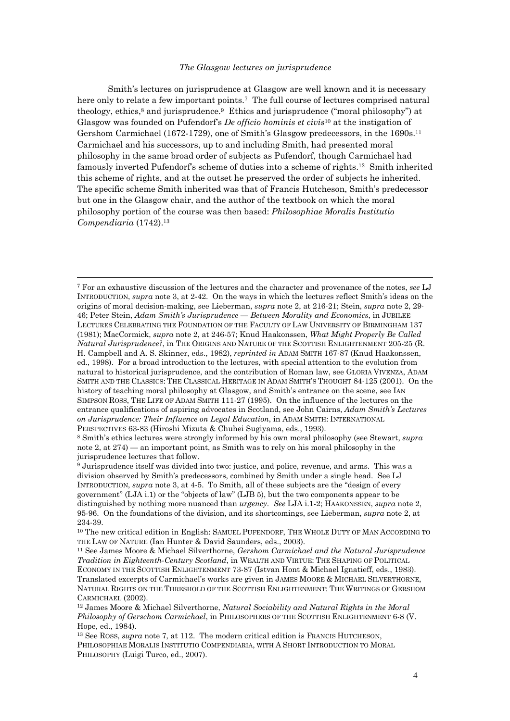#### *The Glasgow lectures on jurisprudence*

Smith's lectures on jurisprudence at Glasgow are well known and it is necessary here only to relate a few important points.<sup>7</sup> The full course of lectures comprised natural theology, ethics,<sup>8</sup> and jurisprudence.<sup>9</sup> Ethics and jurisprudence ("moral philosophy") at Glasgow was founded on Pufendorf's *De officio hominis et civis*10 at the instigation of Gershom Carmichael (1672-1729), one of Smith's Glasgow predecessors, in the 1690s.11 Carmichael and his successors, up to and including Smith, had presented moral philosophy in the same broad order of subjects as Pufendorf, though Carmichael had famously inverted Pufendorf's scheme of duties into a scheme of rights.12 Smith inherited this scheme of rights, and at the outset he preserved the order of subjects he inherited. The specific scheme Smith inherited was that of Francis Hutcheson, Smith's predecessor but one in the Glasgow chair, and the author of the textbook on which the moral philosophy portion of the course was then based: *Philosophiae Moralis Institutio Compendiaria* (1742).13

7 For an exhaustive discussion of the lectures and the character and provenance of the notes, *see* LJ INTRODUCTION, *supra* note 3, at 2-42. On the ways in which the lectures reflect Smith's ideas on the origins of moral decision-making, see Lieberman, *supra* note 2, at 216-21; Stein, *supra* note 2, 29- 46; Peter Stein, *Adam Smith's Jurisprudence — Between Morality and Economics*, in JUBILEE LECTURES CELEBRATING THE FOUNDATION OF THE FACULTY OF LAW UNIVERSITY OF BIRMINGHAM 137 (1981); MacCormick, *supra* note 2, at 246-57; Knud Haakonssen, *What Might Properly Be Called Natural Jurisprudence?*, in THE ORIGINS AND NATURE OF THE SCOTTISH ENLIGHTENMENT 205-25 (R. H. Campbell and A. S. Skinner, eds., 1982), *reprinted in* ADAM SMITH 167-87 (Knud Haakonssen, ed., 1998). For a broad introduction to the lectures, with special attention to the evolution from natural to historical jurisprudence, and the contribution of Roman law, see GLORIA VIVENZA, ADAM SMITH AND THE CLASSICS: THE CLASSICAL HERITAGE IN ADAM SMITH'S THOUGHT 84-125 (2001). On the history of teaching moral philosophy at Glasgow, and Smith's entrance on the scene, see IAN SIMPSON ROSS, THE LIFE OF ADAM SMITH 111-27 (1995). On the influence of the lectures on the entrance qualifications of aspiring advocates in Scotland, see John Cairns, *Adam Smith's Lectures on Jurisprudence: Their Influence on Legal Education*, in ADAM SMITH: INTERNATIONAL

 $\overline{a}$ 

PERSPECTIVES 63-83 (Hiroshi Mizuta & Chuhei Sugiyama, eds., 1993). 8 Smith's ethics lectures were strongly informed by his own moral philosophy (see Stewart, *supra* note 2, at 274) — an important point, as Smith was to rely on his moral philosophy in the jurisprudence lectures that follow.

9 Jurisprudence itself was divided into two: justice, and police, revenue, and arms. This was a division observed by Smith's predecessors, combined by Smith under a single head. See LJ INTRODUCTION, *supra* note 3, at 4-5. To Smith, all of these subjects are the "design of every government" (LJA i.1) or the "objects of law" (LJB 5), but the two components appear to be distinguished by nothing more nuanced than *urgency*. *See* LJA i.1-2; HAAKONSSEN, *supra* note 2, 95-96. On the foundations of the division, and its shortcomings, see Lieberman, *supra* note 2, at 234-39.

<sup>10</sup> The new critical edition in English: SAMUEL PUFENDORF, THE WHOLE DUTY OF MAN ACCORDING TO THE LAW OF NATURE (Ian Hunter & David Saunders, eds., 2003). 11 See James Moore & Michael Silverthorne, *Gershom Carmichael and the Natural Jurisprudence* 

*Tradition in Eighteenth-Century Scotland*, in WEALTH AND VIRTUE: THE SHAPING OF POLITICAL ECONOMY IN THE SCOTTISH ENLIGHTENMENT 73-87 (Istvan Hont & Michael Ignatieff, eds., 1983). Translated excerpts of Carmichael's works are given in JAMES MOORE & MICHAEL SILVERTHORNE, NATURAL RIGHTS ON THE THRESHOLD OF THE SCOTTISH ENLIGHTENMENT: THE WRITINGS OF GERSHOM CARMICHAEL (2002).<br><sup>12</sup> James Moore & Michael Silverthorne, *Natural Sociability and Natural Rights in the Moral* 

*Philosophy of Gerschom Carmichael*, in PHILOSOPHERS OF THE SCOTTISH ENLIGHTENMENT 6-8 (V. Hope, ed., 1984).

<sup>13</sup> See ROSS, *supra* note 7, at 112. The modern critical edition is FRANCIS HUTCHESON, PHILOSOPHIAE MORALIS INSTITUTIO COMPENDIARIA, WITH A SHORT INTRODUCTION TO MORAL PHILOSOPHY (Luigi Turco, ed., 2007).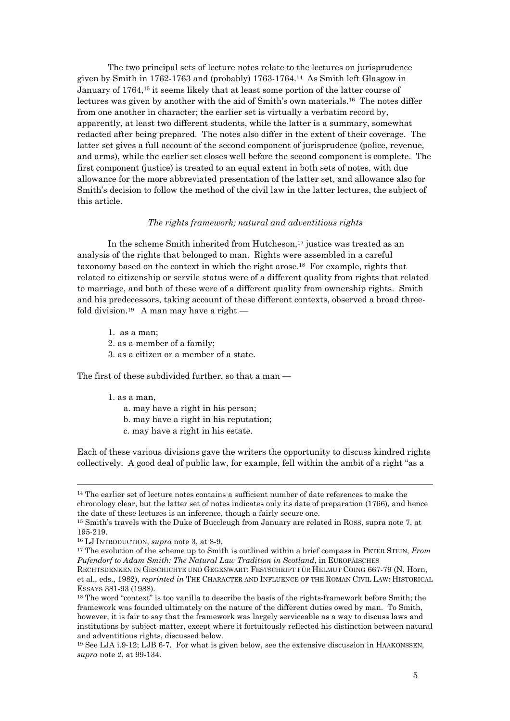The two principal sets of lecture notes relate to the lectures on jurisprudence given by Smith in 1762-1763 and (probably) 1763-1764.14 As Smith left Glasgow in January of 1764,15 it seems likely that at least some portion of the latter course of lectures was given by another with the aid of Smith's own materials.16 The notes differ from one another in character; the earlier set is virtually a verbatim record by, apparently, at least two different students, while the latter is a summary, somewhat redacted after being prepared. The notes also differ in the extent of their coverage. The latter set gives a full account of the second component of jurisprudence (police, revenue, and arms), while the earlier set closes well before the second component is complete. The first component (justice) is treated to an equal extent in both sets of notes, with due allowance for the more abbreviated presentation of the latter set, and allowance also for Smith's decision to follow the method of the civil law in the latter lectures, the subject of this article.

## *The rights framework; natural and adventitious rights*

In the scheme Smith inherited from Hutcheson,<sup>17</sup> justice was treated as an analysis of the rights that belonged to man. Rights were assembled in a careful taxonomy based on the context in which the right arose.18 For example, rights that related to citizenship or servile status were of a different quality from rights that related to marriage, and both of these were of a different quality from ownership rights. Smith and his predecessors, taking account of these different contexts, observed a broad threefold division.<sup>19</sup> A man may have a right —

- 1. as a man;
- 2. as a member of a family;
- 3. as a citizen or a member of a state.

The first of these subdivided further, so that a man —

#### 1. as a man,

 $\overline{a}$ 

- a. may have a right in his person;
- b. may have a right in his reputation;
- c. may have a right in his estate.

Each of these various divisions gave the writers the opportunity to discuss kindred rights collectively. A good deal of public law, for example, fell within the ambit of a right "as a

<sup>&</sup>lt;sup>14</sup> The earlier set of lecture notes contains a sufficient number of date references to make the chronology clear, but the latter set of notes indicates only its date of preparation (1766), and hence the date of these lectures is an inference, though a fairly secure one. 15 Smith's travels with the Duke of Buccleugh from January are related in ROSS, supra note 7, at

<sup>195-219.</sup> 

<sup>&</sup>lt;sup>16</sup> LJ INTRODUCTION, *supra* note 3, at 8-9.<br><sup>17</sup> The evolution of the scheme up to Smith is outlined within a brief compass in PETER STEIN, *From Pufendorf to Adam Smith: The Natural Law Tradition in Scotland*, in EUROPÄISCHES

RECHTSDENKEN IN GESCHICHTE UND GEGENWART: FESTSCHRIFT FÜR HELMUT COING 667-79 (N. Horn, et al., eds., 1982), *reprinted in* THE CHARACTER AND INFLUENCE OF THE ROMAN CIVIL LAW: HISTORICAL ESSAYS 381-93 (1988).<br><sup>18</sup> The word "context" is too vanilla to describe the basis of the rights-framework before Smith; the

framework was founded ultimately on the nature of the different duties owed by man. To Smith, however, it is fair to say that the framework was largely serviceable as a way to discuss laws and institutions by subject-matter, except where it fortuitously reflected his distinction between natural and adventitious rights, discussed below.

<sup>19</sup> See LJA i.9-12; LJB 6-7. For what is given below, see the extensive discussion in HAAKONSSEN, *supra* note 2, at 99-134.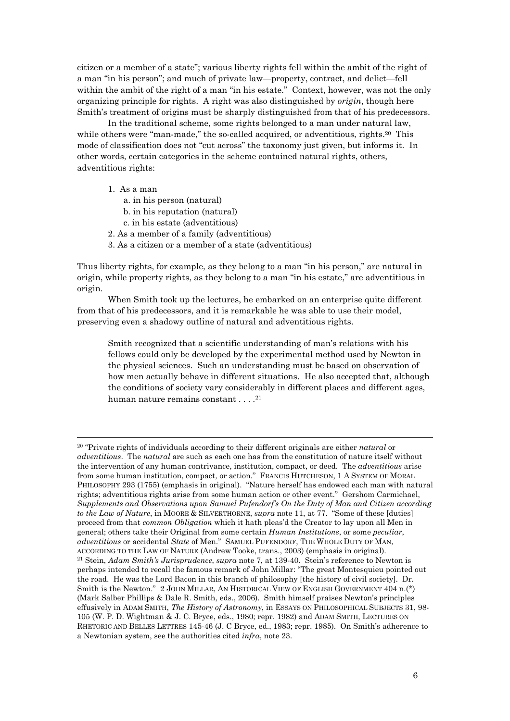citizen or a member of a state"; various liberty rights fell within the ambit of the right of a man "in his person"; and much of private law—property, contract, and delict—fell within the ambit of the right of a man "in his estate." Context, however, was not the only organizing principle for rights. A right was also distinguished by *origin*, though here Smith's treatment of origins must be sharply distinguished from that of his predecessors.

 In the traditional scheme, some rights belonged to a man under natural law, while others were "man-made," the so-called acquired, or adventitious, rights.<sup>20</sup> This mode of classification does not "cut across" the taxonomy just given, but informs it. In other words, certain categories in the scheme contained natural rights, others, adventitious rights:

1. As a man

 $\overline{a}$ 

- a. in his person (natural)
- b. in his reputation (natural)
- c. in his estate (adventitious)
- 2. As a member of a family (adventitious)
- 3. As a citizen or a member of a state (adventitious)

Thus liberty rights, for example, as they belong to a man "in his person," are natural in origin, while property rights, as they belong to a man "in his estate," are adventitious in origin.

 When Smith took up the lectures, he embarked on an enterprise quite different from that of his predecessors, and it is remarkable he was able to use their model, preserving even a shadowy outline of natural and adventitious rights.

Smith recognized that a scientific understanding of man's relations with his fellows could only be developed by the experimental method used by Newton in the physical sciences. Such an understanding must be based on observation of how men actually behave in different situations. He also accepted that, although the conditions of society vary considerably in different places and different ages, human nature remains constant . . . . <sup>21</sup>

<sup>20 &</sup>quot;Private rights of individuals according to their different originals are either *natural* or *adventitious*. The *natural* are such as each one has from the constitution of nature itself without the intervention of any human contrivance, institution, compact, or deed. The *adventitious* arise from some human institution, compact, or action." FRANCIS HUTCHESON, 1 A SYSTEM OF MORAL PHILOSOPHY 293 (1755) (emphasis in original). "Nature herself has endowed each man with natural rights; adventitious rights arise from some human action or other event." Gershom Carmichael, *Supplements and Observations upon Samuel Pufendorf's On the Duty of Man and Citizen according to the Law of Nature*, in MOORE & SILVERTHORNE, *supra* note 11, at 77. "Some of these [duties] proceed from that *common Obligation* which it hath pleas'd the Creator to lay upon all Men in general; others take their Original from some certain *Human Institutions*, or some *peculiar*, *adventitious* or accidental *State* of Men." SAMUEL PUFENDORF, THE WHOLE DUTY OF MAN, ACCORDING TO THE LAW OF NATURE (Andrew Tooke, trans., 2003) (emphasis in original). 21 Stein, *Adam Smith's Jurisprudence*, *supra* note 7, at 139-40. Stein's reference to Newton is perhaps intended to recall the famous remark of John Millar: "The great Montesquieu pointed out the road. He was the Lord Bacon in this branch of philosophy [the history of civil society]. Dr. Smith is the Newton." 2 JOHN MILLAR, AN HISTORICAL VIEW OF ENGLISH GOVERNMENT 404 n.(\*) (Mark Salber Phillips & Dale R. Smith, eds., 2006). Smith himself praises Newton's principles effusively in ADAM SMITH, *The History of Astronomy*, in ESSAYS ON PHILOSOPHICAL SUBJECTS 31, 98- 105 (W. P. D. Wightman & J. C. Bryce, eds., 1980; repr. 1982) and ADAM SMITH, LECTURES ON RHETORIC AND BELLES LETTRES 145-46 (J. C Bryce, ed., 1983; repr. 1985). On Smith's adherence to a Newtonian system, see the authorities cited *infra*, note 23.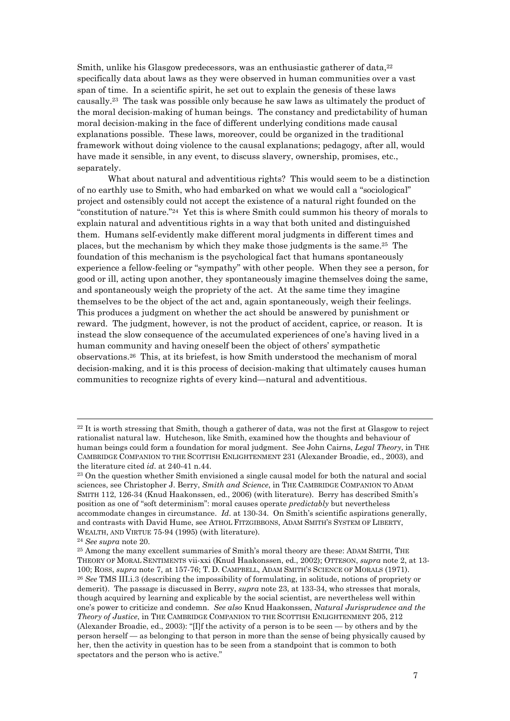Smith, unlike his Glasgow predecessors, was an enthusiastic gatherer of data, <sup>22</sup> specifically data about laws as they were observed in human communities over a vast span of time. In a scientific spirit, he set out to explain the genesis of these laws causally.23 The task was possible only because he saw laws as ultimately the product of the moral decision-making of human beings. The constancy and predictability of human moral decision-making in the face of different underlying conditions made causal explanations possible. These laws, moreover, could be organized in the traditional framework without doing violence to the causal explanations; pedagogy, after all, would have made it sensible, in any event, to discuss slavery, ownership, promises, etc., separately.

 What about natural and adventitious rights? This would seem to be a distinction of no earthly use to Smith, who had embarked on what we would call a "sociological" project and ostensibly could not accept the existence of a natural right founded on the "constitution of nature."24 Yet this is where Smith could summon his theory of morals to explain natural and adventitious rights in a way that both united and distinguished them. Humans self-evidently make different moral judgments in different times and places, but the mechanism by which they make those judgments is the same.25 The foundation of this mechanism is the psychological fact that humans spontaneously experience a fellow-feeling or "sympathy" with other people. When they see a person, for good or ill, acting upon another, they spontaneously imagine themselves doing the same, and spontaneously weigh the propriety of the act. At the same time they imagine themselves to be the object of the act and, again spontaneously, weigh their feelings. This produces a judgment on whether the act should be answered by punishment or reward. The judgment, however, is not the product of accident, caprice, or reason. It is instead the slow consequence of the accumulated experiences of one's having lived in a human community and having oneself been the object of others' sympathetic observations.26 This, at its briefest, is how Smith understood the mechanism of moral decision-making, and it is this process of decision-making that ultimately causes human communities to recognize rights of every kind—natural and adventitious.

<sup>&</sup>lt;sup>22</sup> It is worth stressing that Smith, though a gatherer of data, was not the first at Glasgow to reject rationalist natural law. Hutcheson, like Smith, examined how the thoughts and behaviour of human beings could form a foundation for moral judgment. See John Cairns, *Legal Theory*, in THE CAMBRIDGE COMPANION TO THE SCOTTISH ENLIGHTENMENT 231 (Alexander Broadie, ed., 2003), and the literature cited *id.* at 240-41 n.44.<br><sup>23</sup> On the question whether Smith envisioned a single causal model for both the natural and social

sciences, see Christopher J. Berry, *Smith and Science*, in THE CAMBRIDGE COMPANION TO ADAM SMITH 112, 126-34 (Knud Haakonssen, ed., 2006) (with literature). Berry has described Smith's position as one of "soft determinism": moral causes operate *predictably* but nevertheless accommodate changes in circumstance. *Id*. at 130-34. On Smith's scientific aspirations generally, and contrasts with David Hume, see ATHOL FITZGIBBONS, ADAM SMITH'S SYSTEM OF LIBERTY, WEALTH, AND VIRTUE 75-94 (1995) (with literature).<br><sup>24</sup> *See supra* note 20.<br><sup>25</sup> Among the many excellent summaries of Smith's moral theory are these: ADAM SMITH. THE

THEORY OF MORAL SENTIMENTS vii-xxi (Knud Haakonssen, ed., 2002); OTTESON, *supra* note 2, at 13- 100; ROSS, *supra* note 7, at 157-76; T. D. CAMPBELL, ADAM SMITH'S SCIENCE OF MORALS (1971). 26 *See* TMS III.i.3 (describing the impossibility of formulating, in solitude, notions of propriety or demerit). The passage is discussed in Berry, *supra* note 23, at 133-34, who stresses that morals, though acquired by learning and explicable by the social scientist, are nevertheless well within one's power to criticize and condemn. *See also* Knud Haakonssen, *Natural Jurisprudence and the Theory of Justice*, in THE CAMBRIDGE COMPANION TO THE SCOTTISH ENLIGHTENMENT 205, 212 (Alexander Broadie, ed., 2003): "[I]f the activity of a person is to be seen — by others and by the person herself — as belonging to that person in more than the sense of being physically caused by her, then the activity in question has to be seen from a standpoint that is common to both spectators and the person who is active."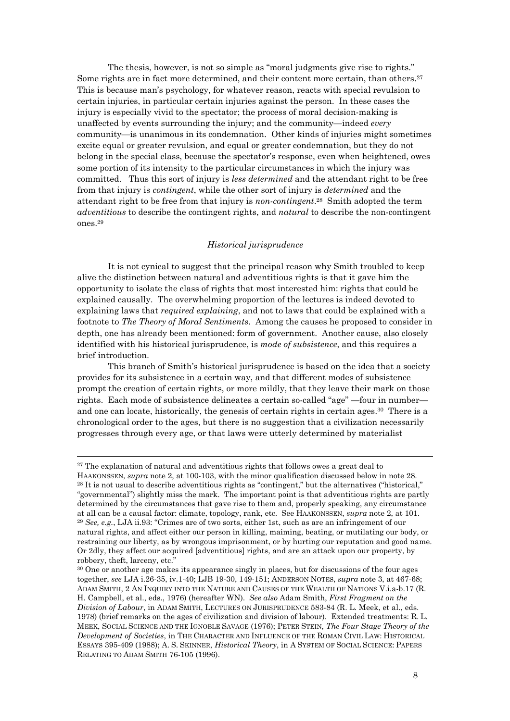The thesis, however, is not so simple as "moral judgments give rise to rights." Some rights are in fact more determined, and their content more certain, than others.27 This is because man's psychology, for whatever reason, reacts with special revulsion to certain injuries, in particular certain injuries against the person. In these cases the injury is especially vivid to the spectator; the process of moral decision-making is unaffected by events surrounding the injury; and the community—indeed *every* community—is unanimous in its condemnation. Other kinds of injuries might sometimes excite equal or greater revulsion, and equal or greater condemnation, but they do not belong in the special class, because the spectator's response, even when heightened, owes some portion of its intensity to the particular circumstances in which the injury was committed. Thus this sort of injury is *less determined* and the attendant right to be free from that injury is *contingent*, while the other sort of injury is *determined* and the attendant right to be free from that injury is *non-contingent*.28 Smith adopted the term *adventitious* to describe the contingent rights, and *natural* to describe the non-contingent ones.29

#### *Historical jurisprudence*

It is not cynical to suggest that the principal reason why Smith troubled to keep alive the distinction between natural and adventitious rights is that it gave him the opportunity to isolate the class of rights that most interested him: rights that could be explained causally. The overwhelming proportion of the lectures is indeed devoted to explaining laws that *required explaining*, and not to laws that could be explained with a footnote to *The Theory of Moral Sentiments*. Among the causes he proposed to consider in depth, one has already been mentioned: form of government. Another cause, also closely identified with his historical jurisprudence, is *mode of subsistence*, and this requires a brief introduction.

 This branch of Smith's historical jurisprudence is based on the idea that a society provides for its subsistence in a certain way, and that different modes of subsistence prompt the creation of certain rights, or more mildly, that they leave their mark on those rights. Each mode of subsistence delineates a certain so-called "age" —four in number and one can locate, historically, the genesis of certain rights in certain ages.30 There is a chronological order to the ages, but there is no suggestion that a civilization necessarily progresses through every age, or that laws were utterly determined by materialist

<sup>&</sup>lt;sup>27</sup> The explanation of natural and adventitious rights that follows owes a great deal to HAAKONSSEN, *supra* note 2, at 100-103, with the minor qualification discussed below in note 28.<br><sup>28</sup> It is not usual to describe adventitious rights as "contingent," but the alternatives ("historical," "governmental") slightly miss the mark. The important point is that adventitious rights are partly determined by the circumstances that gave rise to them and, properly speaking, any circumstance at all can be a causal factor: climate, topology, rank, etc. See HAAKONSSEN, *supra* note 2, at 101. 29 *See, e.g.*, LJA ii.93: "Crimes are of two sorts, either 1st, such as are an infringement of our natural rights, and affect either our person in killing, maiming, beating, or mutilating our body, or restraining our liberty, as by wrongous imprisonment, or by hurting our reputation and good name. Or 2dly, they affect our acquired [adventitious] rights, and are an attack upon our property, by robbery, theft, larceny, etc."

<sup>30</sup> One or another age makes its appearance singly in places, but for discussions of the four ages together, *see* LJA i.26-35, iv.1-40; LJB 19-30, 149-151; ANDERSON NOTES, *supra* note 3, at 467-68; ADAM SMITH, 2 AN INQUIRY INTO THE NATURE AND CAUSES OF THE WEALTH OF NATIONS V.i.a-b.17 (R. H. Campbell, et al., eds., 1976) (hereafter WN). *See also* Adam Smith, *First Fragment on the Division of Labour*, in ADAM SMITH, LECTURES ON JURISPRUDENCE 583-84 (R. L. Meek, et al., eds. 1978) (brief remarks on the ages of civilization and division of labour). Extended treatments: R. L. MEEK, SOCIAL SCIENCE AND THE IGNOBLE SAVAGE (1976); PETER STEIN, *The Four Stage Theory of the Development of Societies*, in THE CHARACTER AND INFLUENCE OF THE ROMAN CIVIL LAW: HISTORICAL ESSAYS 395-409 (1988); A. S. SKINNER, *Historical Theory*, in A SYSTEM OF SOCIAL SCIENCE: PAPERS RELATING TO ADAM SMITH 76-105 (1996).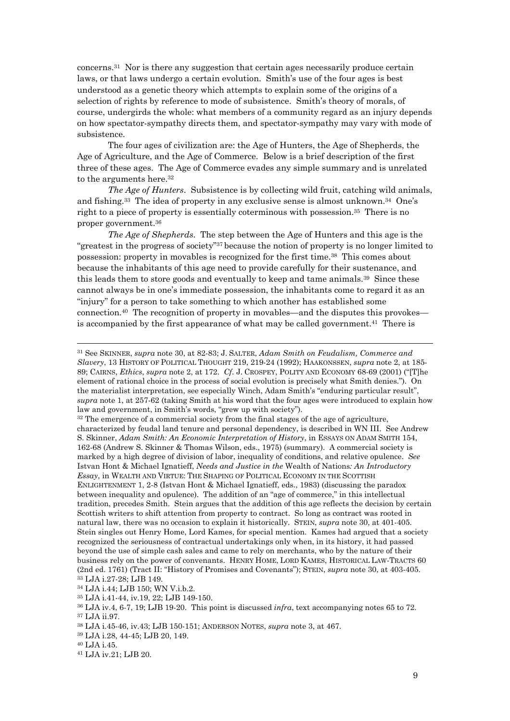concerns.31 Nor is there any suggestion that certain ages necessarily produce certain laws, or that laws undergo a certain evolution. Smith's use of the four ages is best understood as a genetic theory which attempts to explain some of the origins of a selection of rights by reference to mode of subsistence. Smith's theory of morals, of course, undergirds the whole: what members of a community regard as an injury depends on how spectator-sympathy directs them, and spectator-sympathy may vary with mode of subsistence.

 The four ages of civilization are: the Age of Hunters, the Age of Shepherds, the Age of Agriculture, and the Age of Commerce. Below is a brief description of the first three of these ages. The Age of Commerce evades any simple summary and is unrelated to the arguments here.<sup>32</sup>

*The Age of Hunters*. Subsistence is by collecting wild fruit, catching wild animals, and fishing.33 The idea of property in any exclusive sense is almost unknown.34 One's right to a piece of property is essentially coterminous with possession.35 There is no proper government.36

*The Age of Shepherds*. The step between the Age of Hunters and this age is the "greatest in the progress of society"37 because the notion of property is no longer limited to possession: property in movables is recognized for the first time.38 This comes about because the inhabitants of this age need to provide carefully for their sustenance, and this leads them to store goods and eventually to keep and tame animals.39 Since these cannot always be in one's immediate possession, the inhabitants come to regard it as an "injury" for a person to take something to which another has established some connection.40 The recognition of property in movables—and the disputes this provokes is accompanied by the first appearance of what may be called government.41 There is

characterized by feudal land tenure and personal dependency, is described in WN III. See Andrew S. Skinner, *Adam Smith: An Economic Interpretation of History*, in ESSAYS ON ADAM SMITH 154, 162-68 (Andrew S. Skinner & Thomas Wilson, eds., 1975) (summary). A commercial society is marked by a high degree of division of labor, inequality of conditions, and relative opulence. *See* Istvan Hont & Michael Ignatieff, *Needs and Justice in the* Wealth of Nations*: An Introductory Essay*, in WEALTH AND VIRTUE: THE SHAPING OF POLITICAL ECONOMY IN THE SCOTTISH ENLIGHTENMENT 1, 2-8 (Istvan Hont & Michael Ignatieff, eds., 1983) (discussing the paradox between inequality and opulence). The addition of an "age of commerce," in this intellectual tradition, precedes Smith. Stein argues that the addition of this age reflects the decision by certain Scottish writers to shift attention from property to contract. So long as contract was rooted in natural law, there was no occasion to explain it historically. STEIN, *supra* note 30, at 401-405. Stein singles out Henry Home, Lord Kames, for special mention. Kames had argued that a society recognized the seriousness of contractual undertakings only when, in its history, it had passed beyond the use of simple cash sales and came to rely on merchants, who by the nature of their business rely on the power of convenants. HENRY HOME, LORD KAMES, HISTORICAL LAW-TRACTS 60 (2nd ed. 1761) (Tract II: "History of Promises and Covenants"); STEIN, *supra* note 30, at 403-405. 33 LJA i.27-28; LJB 149.

34 LJA i.44; LJB 150; WN V.i.b.2.

35 LJA i.41-44, iv.19, 22; LJB 149-150.

- 38 LJA i.45-46, iv.43; LJB 150-151; ANDERSON NOTES, *supra* note 3, at 467. 39 LJA i.28, 44-45; LJB 20, 149.
- 

<sup>31</sup> See SKINNER, *supra* note 30, at 82-83; J. SALTER, *Adam Smith on Feudalism, Commerce and Slavery*, 13 HISTORY OF POLITICAL THOUGHT 219, 219-24 (1992); HAAKONSSEN, *supra* note 2, at 185- 89; CAIRNS, *Ethics*, *supra* note 2, at 172. *Cf*. J. CROSPEY, POLITY AND ECONOMY 68-69 (2001) ("[T]he element of rational choice in the process of social evolution is precisely what Smith denies."). On the materialist interpretation, see especially Winch, Adam Smith's "enduring particular result", *supra* note 1, at 257-62 (taking Smith at his word that the four ages were introduced to explain how law and government, in Smith's words, "grew up with society"). 32 The emergence of a commercial society from the final stages of the age of agriculture,

<sup>36</sup> LJA iv.4, 6-7, 19; LJB 19-20. This point is discussed *infra*, text accompanying notes 65 to 72. 37 LJA ii.97.

<sup>40</sup> LJA i.45.

<sup>41</sup> LJA iv.21; LJB 20.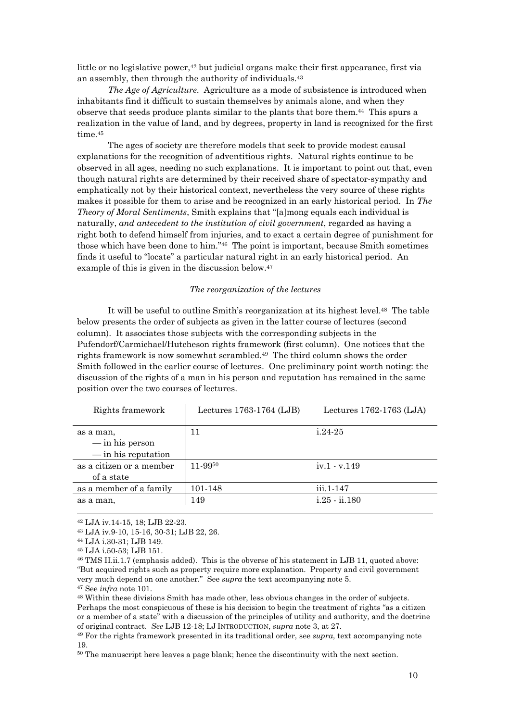little or no legislative power,<sup>42</sup> but judicial organs make their first appearance, first via an assembly, then through the authority of individuals.43

*The Age of Agriculture*. Agriculture as a mode of subsistence is introduced when inhabitants find it difficult to sustain themselves by animals alone, and when they observe that seeds produce plants similar to the plants that bore them.44 This spurs a realization in the value of land, and by degrees, property in land is recognized for the first time.<sup>45</sup>

 The ages of society are therefore models that seek to provide modest causal explanations for the recognition of adventitious rights. Natural rights continue to be observed in all ages, needing no such explanations. It is important to point out that, even though natural rights are determined by their received share of spectator-sympathy and emphatically not by their historical context, nevertheless the very source of these rights makes it possible for them to arise and be recognized in an early historical period. In *The Theory of Moral Sentiments*, Smith explains that "[a]mong equals each individual is naturally, *and antecedent to the institution of civil government*, regarded as having a right both to defend himself from injuries, and to exact a certain degree of punishment for those which have been done to him."46 The point is important, because Smith sometimes finds it useful to "locate" a particular natural right in an early historical period. An example of this is given in the discussion below.47

### *The reorganization of the lectures*

It will be useful to outline Smith's reorganization at its highest level.48 The table below presents the order of subjects as given in the latter course of lectures (second column). It associates those subjects with the corresponding subjects in the Pufendorf/Carmichael/Hutcheson rights framework (first column). One notices that the rights framework is now somewhat scrambled.49 The third column shows the order Smith followed in the earlier course of lectures. One preliminary point worth noting: the discussion of the rights of a man in his person and reputation has remained in the same position over the two courses of lectures.

| Rights framework                                               | Lectures 1763-1764 (LJB) | Lectures $1762-1763$ (LJA) |
|----------------------------------------------------------------|--------------------------|----------------------------|
| as a man,<br>$-\text{in}$ his person<br>$-\sin$ his reputation | 11                       | $1.24 - 25$                |
| as a citizen or a member<br>of a state                         | 11-9950                  | iv.1 - v.149               |
| as a member of a family                                        | 101-148                  | iii.1-147                  |
| as a man.                                                      | 149                      | $i.25 - ii.180$            |

42 LJA iv.14-15, 18; LJB 22-23.

<sup>43</sup> LJA iv.9-10, 15-16, 30-31; LJB 22, 26.

<sup>44</sup> LJA i.30-31; LJB 149.

<sup>45</sup> LJA i.50-53; LJB 151.

<sup>46</sup> TMS II.ii.1.7 (emphasis added). This is the obverse of his statement in LJB 11, quoted above: "But acquired rights such as property require more explanation. Property and civil government very much depend on one another." See *supra* the text accompanying note 5.<br><sup>47</sup> See *infra* note 101.<br><sup>48</sup> Within these divisions Smith has made other, less obvious changes in the order of subjects.

Perhaps the most conspicuous of these is his decision to begin the treatment of rights "as a citizen or a member of a state" with a discussion of the principles of utility and authority, and the doctrine of original contract. *See* LJB 12-18; LJ INTRODUCTION, *supra* note 3, at 27. 49 For the rights framework presented in its traditional order, see *supra*, text accompanying note

<sup>19.</sup> 

<sup>50</sup> The manuscript here leaves a page blank; hence the discontinuity with the next section.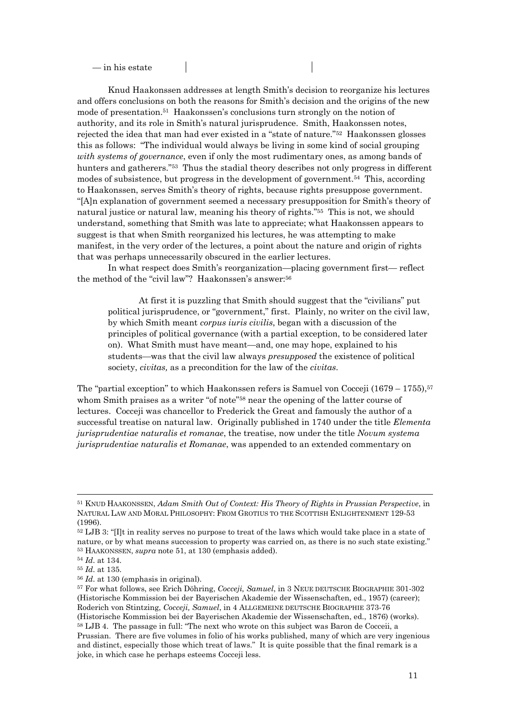— in his estate

 Knud Haakonssen addresses at length Smith's decision to reorganize his lectures and offers conclusions on both the reasons for Smith's decision and the origins of the new mode of presentation.51 Haakonssen's conclusions turn strongly on the notion of authority, and its role in Smith's natural jurisprudence. Smith, Haakonssen notes, rejected the idea that man had ever existed in a "state of nature."52 Haakonssen glosses this as follows: "The individual would always be living in some kind of social grouping *with systems of governance*, even if only the most rudimentary ones, as among bands of hunters and gatherers."<sup>53</sup> Thus the stadial theory describes not only progress in different modes of subsistence, but progress in the development of government.54 This, according to Haakonssen, serves Smith's theory of rights, because rights presuppose government. "[A]n explanation of government seemed a necessary presupposition for Smith's theory of natural justice or natural law, meaning his theory of rights."55 This is not, we should understand, something that Smith was late to appreciate; what Haakonssen appears to suggest is that when Smith reorganized his lectures, he was attempting to make manifest, in the very order of the lectures, a point about the nature and origin of rights that was perhaps unnecessarily obscured in the earlier lectures.

 In what respect does Smith's reorganization—placing government first— reflect the method of the "civil law"? Haakonssen's answer:56

 At first it is puzzling that Smith should suggest that the "civilians" put political jurisprudence, or "government," first. Plainly, no writer on the civil law, by which Smith meant *corpus iuris civilis*, began with a discussion of the principles of political governance (with a partial exception, to be considered later on). What Smith must have meant—and, one may hope, explained to his students—was that the civil law always *presupposed* the existence of political society, *civitas,* as a precondition for the law of the *civitas*.

The "partial exception" to which Haakonssen refers is Samuel von Cocceji (1679 – 1755),<sup>57</sup> whom Smith praises as a writer "of note"<sup>58</sup> near the opening of the latter course of lectures. Cocceji was chancellor to Frederick the Great and famously the author of a successful treatise on natural law. Originally published in 1740 under the title *Elementa jurisprudentiae naturalis et romanae*, the treatise, now under the title *Novum systema jurisprudentiae naturalis et Romanae*, was appended to an extended commentary on

<sup>51</sup> KNUD HAAKONSSEN, *Adam Smith Out of Context: His Theory of Rights in Prussian Perspective*, in NATURAL LAW AND MORAL PHILOSOPHY: FROM GROTIUS TO THE SCOTTISH ENLIGHTENMENT 129-53 (1996).

<sup>52</sup> LJB 3: "[I]t in reality serves no purpose to treat of the laws which would take place in a state of nature, or by what means succession to property was carried on, as there is no such state existing."<br>  $^{53}$  HAAKONSSEN, *supra* note 51, at 130 (emphasis added).<br>  $^{54}$  *Id.* at 134.<br>  $^{55}$  *Id.* at 136.<br>  $^{56}$  *Id.*

<sup>(</sup>Historische Kommission bei der Bayerischen Akademie der Wissenschaften, ed., 1957) (career); Roderich von Stintzing, *Cocceji, Samuel*, in 4 ALLGEMEINE DEUTSCHE BIOGRAPHIE 373-76 (Historische Kommission bei der Bayerischen Akademie der Wissenschaften, ed., 1876) (works).

<sup>58</sup> LJB 4. The passage in full: "The next who wrote on this subject was Baron de Cocceii, a Prussian. There are five volumes in folio of his works published, many of which are very ingenious and distinct, especially those which treat of laws." It is quite possible that the final remark is a joke, in which case he perhaps esteems Cocceji less.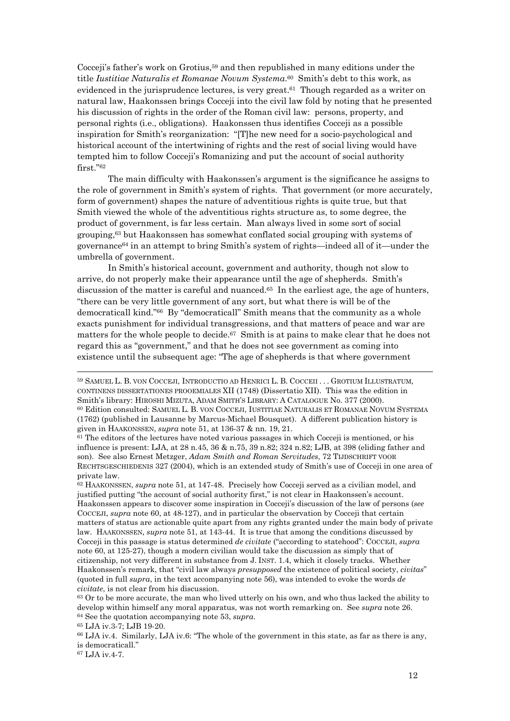Cocceji's father's work on Grotius,<sup>59</sup> and then republished in many editions under the title *Iustitiae Naturalis et Romanae Novum Systema*.60 Smith's debt to this work, as evidenced in the jurisprudence lectures, is very great.61 Though regarded as a writer on natural law, Haakonssen brings Cocceji into the civil law fold by noting that he presented his discussion of rights in the order of the Roman civil law: persons, property, and personal rights (i.e., obligations). Haakonssen thus identifies Cocceji as a possible inspiration for Smith's reorganization: "[T]he new need for a socio-psychological and historical account of the intertwining of rights and the rest of social living would have tempted him to follow Cocceji's Romanizing and put the account of social authority first."62

 The main difficulty with Haakonssen's argument is the significance he assigns to the role of government in Smith's system of rights. That government (or more accurately, form of government) shapes the nature of adventitious rights is quite true, but that Smith viewed the whole of the adventitious rights structure as, to some degree, the product of government, is far less certain. Man always lived in some sort of social grouping,63 but Haakonssen has somewhat conflated social grouping with systems of governance64 in an attempt to bring Smith's system of rights—indeed all of it—under the umbrella of government.

 In Smith's historical account, government and authority, though not slow to arrive, do not properly make their appearance until the age of shepherds. Smith's discussion of the matter is careful and nuanced. $65$  In the earliest age, the age of hunters, "there can be very little government of any sort, but what there is will be of the democraticall kind."66 By "democraticall" Smith means that the community as a whole exacts punishment for individual transgressions, and that matters of peace and war are matters for the whole people to decide.<sup>67</sup> Smith is at pains to make clear that he does not regard this as "government," and that he does not see government as coming into existence until the subsequent age: "The age of shepherds is that where government

influence is present: LJA, at  $28$  n.45,  $36$  & n.75,  $39$  n.82;  $324$  n.82; LJB, at  $398$  (eliding father and son). See also Ernest Metzger, *Adam Smith and Roman Servitudes*, 72 TIJDSCHRIFT VOOR RECHTSGESCHIEDENIS 327 (2004), which is an extended study of Smith's use of Cocceji in one area of private law.

62 HAAKONSSEN, *supra* note 51, at 147-48. Precisely how Cocceji served as a civilian model, and justified putting "the account of social authority first," is not clear in Haakonssen's account. Haakonssen appears to discover some inspiration in Cocceji's discussion of the law of persons (*see* COCCEJI, *supra* note 60, at 48-127), and in particular the observation by Cocceji that certain matters of status are actionable quite apart from any rights granted under the main body of private law. HAAKONSSEN, *supra* note 51, at 143-44. It is true that among the conditions discussed by Cocceji in this passage is status determined *de civitate* ("according to statehood": COCCEJI, *supra* note 60, at 125-27), though a modern civilian would take the discussion as simply that of citizenship, not very different in substance from J. INST. 1.4, which it closely tracks. Whether Haakonssen's remark, that "civil law always *presupposed* the existence of political society, *civitas*" (quoted in full *supra*, in the text accompanying note 56), was intended to evoke the words *de civitate*, is not clear from his discussion.<br><sup>63</sup> Or to be more accurate, the man who lived utterly on his own, and who thus lacked the ability to

develop within himself any moral apparatus, was not worth remarking on. See *supra* note 26. <sup>64</sup> See the quotation accompanying note 53, *supra*. <sup>65</sup> LJA iv.3-7; LJB 19-20.

66 LJA iv.4. Similarly, LJA iv.6: "The whole of the government in this state, as far as there is any, is democraticall."

67 LJA iv.4-7.

<sup>59</sup> SAMUEL L. B. VON COCCEJI, INTRODUCTIO AD HENRICI L. B. COCCEII . . . GROTIUM ILLUSTRATUM, CONTINENS DISSERTATIONES PROOEMIALES XII (1748) (Dissertatio XII). This was the edition in Smith's library: HIROSHI MIZUTA, ADAM SMITH'S LIBRARY: A CATALOGUE No. 377 (2000).<br><sup>60</sup> Edition consulted: SAMUEL L. B. VON COCCEJI, IUSTITIAE NATURALIS ET ROMANAE NOVUM SYSTEMA (1762) (published in Lausanne by Marcus-Michael Bousquet). A different publication history is given in HAAKONSSEN, *supra* note 51, at 136-37 & nn. 19, 21.<br><sup>61</sup> The editors of the lectures have noted various passages in which Cocceji is mentioned, or his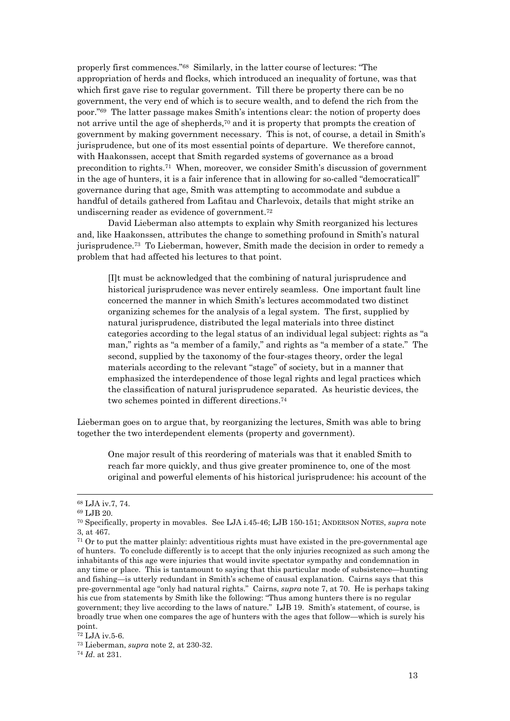properly first commences."68 Similarly, in the latter course of lectures: "The appropriation of herds and flocks, which introduced an inequality of fortune, was that which first gave rise to regular government. Till there be property there can be no government, the very end of which is to secure wealth, and to defend the rich from the poor."69 The latter passage makes Smith's intentions clear: the notion of property does not arrive until the age of shepherds,70 and it is property that prompts the creation of government by making government necessary. This is not, of course, a detail in Smith's jurisprudence, but one of its most essential points of departure. We therefore cannot, with Haakonssen, accept that Smith regarded systems of governance as a broad precondition to rights.71 When, moreover, we consider Smith's discussion of government in the age of hunters, it is a fair inference that in allowing for so-called "democraticall" governance during that age, Smith was attempting to accommodate and subdue a handful of details gathered from Lafitau and Charlevoix, details that might strike an undiscerning reader as evidence of government.72

 David Lieberman also attempts to explain why Smith reorganized his lectures and, like Haakonssen, attributes the change to something profound in Smith's natural jurisprudence.73 To Lieberman, however, Smith made the decision in order to remedy a problem that had affected his lectures to that point.

[I]t must be acknowledged that the combining of natural jurisprudence and historical jurisprudence was never entirely seamless. One important fault line concerned the manner in which Smith's lectures accommodated two distinct organizing schemes for the analysis of a legal system. The first, supplied by natural jurisprudence, distributed the legal materials into three distinct categories according to the legal status of an individual legal subject: rights as "a man," rights as "a member of a family," and rights as "a member of a state." The second, supplied by the taxonomy of the four-stages theory, order the legal materials according to the relevant "stage" of society, but in a manner that emphasized the interdependence of those legal rights and legal practices which the classification of natural jurisprudence separated. As heuristic devices, the two schemes pointed in different directions.74

Lieberman goes on to argue that, by reorganizing the lectures, Smith was able to bring together the two interdependent elements (property and government).

One major result of this reordering of materials was that it enabled Smith to reach far more quickly, and thus give greater prominence to, one of the most original and powerful elements of his historical jurisprudence: his account of the

<sup>68</sup> LJA iv.7, 74.

<sup>69</sup> LJB 20.

<sup>70</sup> Specifically, property in movables. See LJA i.45-46; LJB 150-151; ANDERSON NOTES, *supra* note 3, at 467.

<sup>71</sup> Or to put the matter plainly: adventitious rights must have existed in the pre-governmental age of hunters. To conclude differently is to accept that the only injuries recognized as such among the inhabitants of this age were injuries that would invite spectator sympathy and condemnation in any time or place. This is tantamount to saying that this particular mode of subsistence—hunting and fishing—is utterly redundant in Smith's scheme of causal explanation. Cairns says that this pre-governmental age "only had natural rights." Cairns, *supra* note 7, at 70. He is perhaps taking his cue from statements by Smith like the following: "Thus among hunters there is no regular government; they live according to the laws of nature." LJB 19. Smith's statement, of course, is broadly true when one compares the age of hunters with the ages that follow—which is surely his point.

<sup>72</sup> LJA iv.5-6.

<sup>73</sup> Lieberman, *supra* note 2, at 230-32. 74 *Id*. at 231.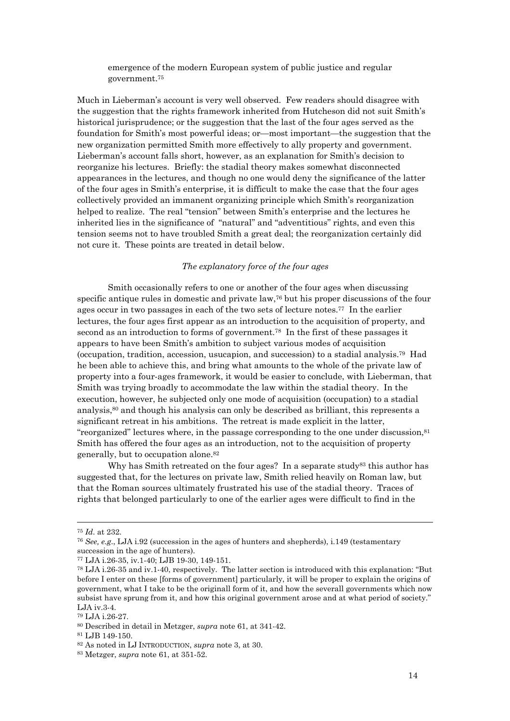emergence of the modern European system of public justice and regular government.75

Much in Lieberman's account is very well observed. Few readers should disagree with the suggestion that the rights framework inherited from Hutcheson did not suit Smith's historical jurisprudence; or the suggestion that the last of the four ages served as the foundation for Smith's most powerful ideas; or—most important—the suggestion that the new organization permitted Smith more effectively to ally property and government. Lieberman's account falls short, however, as an explanation for Smith's decision to reorganize his lectures. Briefly: the stadial theory makes somewhat disconnected appearances in the lectures, and though no one would deny the significance of the latter of the four ages in Smith's enterprise, it is difficult to make the case that the four ages collectively provided an immanent organizing principle which Smith's reorganization helped to realize. The real "tension" between Smith's enterprise and the lectures he inherited lies in the significance of "natural" and "adventitious" rights, and even this tension seems not to have troubled Smith a great deal; the reorganization certainly did not cure it. These points are treated in detail below.

### *The explanatory force of the four ages*

Smith occasionally refers to one or another of the four ages when discussing specific antique rules in domestic and private law,76 but his proper discussions of the four ages occur in two passages in each of the two sets of lecture notes.77 In the earlier lectures, the four ages first appear as an introduction to the acquisition of property, and second as an introduction to forms of government.78 In the first of these passages it appears to have been Smith's ambition to subject various modes of acquisition (occupation, tradition, accession, usucapion, and succession) to a stadial analysis.79 Had he been able to achieve this, and bring what amounts to the whole of the private law of property into a four-ages framework, it would be easier to conclude, with Lieberman, that Smith was trying broadly to accommodate the law within the stadial theory. In the execution, however, he subjected only one mode of acquisition (occupation) to a stadial analysis,80 and though his analysis can only be described as brilliant, this represents a significant retreat in his ambitions. The retreat is made explicit in the latter, "reorganized" lectures where, in the passage corresponding to the one under discussion,81 Smith has offered the four ages as an introduction, not to the acquisition of property generally, but to occupation alone.82

Why has Smith retreated on the four ages? In a separate study<sup>83</sup> this author has suggested that, for the lectures on private law, Smith relied heavily on Roman law, but that the Roman sources ultimately frustrated his use of the stadial theory. Traces of rights that belonged particularly to one of the earlier ages were difficult to find in the

<sup>75</sup> *Id*. at 232. 76 *See, e.g*., LJA i.92 (succession in the ages of hunters and shepherds), i.149 (testamentary succession in the age of hunters).

<sup>77</sup> LJA i.26-35, iv.1-40; LJB 19-30, 149-151.

<sup>78</sup> LJA i.26-35 and iv.1-40, respectively. The latter section is introduced with this explanation: "But before I enter on these [forms of government] particularly, it will be proper to explain the origins of government, what I take to be the originall form of it, and how the severall governments which now subsist have sprung from it, and how this original government arose and at what period of society." LJA iv.3-4.

<sup>79</sup> LJA i.26-27.

<sup>80</sup> Described in detail in Metzger, *supra* note 61, at 341-42. 81 LJB 149-150.

<sup>82</sup> As noted in LJ INTRODUCTION, *supra* note 3, at 30. 83 Metzger, *supra* note 61, at 351-52.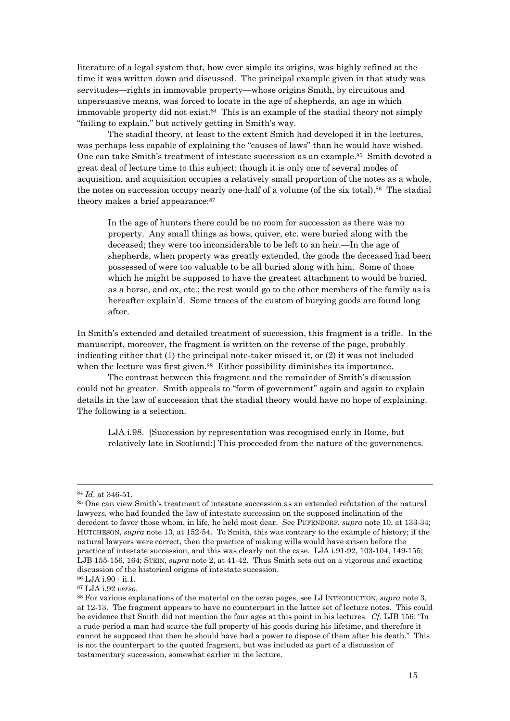literature of a legal system that, how ever simple its origins, was highly refined at the time it was written down and discussed. The principal example given in that study was servitudes—rights in immovable property—whose origins Smith, by circuitous and unpersuasive means, was forced to locate in the age of shepherds, an age in which immovable property did not exist.<sup>84</sup> This is an example of the stadial theory not simply "failing to explain," but actively getting in Smith's way.

The stadial theory, at least to the extent Smith had developed it in the lectures, was perhaps less capable of explaining the "causes of laws" than he would have wished. One can take Smith's treatment of intestate succession as an example.<sup>85</sup> Smith devoted a great deal of lecture time to this subject: though it is only one of several modes of acquisition, and acquisition occupies a relatively small proportion of the notes as a whole, the notes on succession occupy nearly one-half of a volume (of the six total).86 The stadial theory makes a brief appearance:<sup>87</sup>

In the age of hunters there could be no room for succession as there was no property. Any small things as bows, quiver, etc. were buried along with the deceased; they were too inconsiderable to be left to an heir.—In the age of shepherds, when property was greatly extended, the goods the deceased had been possessed of were too valuable to be all buried along with him. Some of those which he might be supposed to have the greatest attachment to would be buried, as a horse, and ox, etc.; the rest would go to the other members of the family as is hereafter explain'd. Some traces of the custom of burying goods are found long after.

In Smith's extended and detailed treatment of succession, this fragment is a trifle. In the manuscript, moreover, the fragment is written on the reverse of the page, probably indicating either that (1) the principal note-taker missed it, or (2) it was not included when the lecture was first given.<sup>88</sup> Either possibility diminishes its importance.

 The contrast between this fragment and the remainder of Smith's discussion could not be greater. Smith appeals to "form of government" again and again to explain details in the law of succession that the stadial theory would have no hope of explaining. The following is a selection.

LJA i.98. [Succession by representation was recognised early in Rome, but relatively late in Scotland:] This proceeded from the nature of the governments.

<sup>&</sup>lt;sup>84</sup> *Id*. at 346-51.<br><sup>85</sup> One can view Smith's treatment of intestate succession as an extended refutation of the natural lawyers, who had founded the law of intestate succession on the supposed inclination of the decedent to favor those whom, in life, he held most dear. See PUFENDORF, *supra* note 10, at 133-34; HUTCHESON, *supra* note 13, at 152-54. To Smith, this was contrary to the example of history; if the natural lawyers were correct, then the practice of making wills would have arisen before the practice of intestate succession, and this was clearly not the case. LJA i.91-92, 103-104, 149-155; LJB 155-156, 164; STEIN, *supra* note 2, at 41-42. Thus Smith sets out on a vigorous and exacting discussion of the historical origins of intestate sucession.

<sup>86</sup> LJA i.90 - ii.1.

<sup>&</sup>lt;sup>87</sup> LJA i.92 *verso.*<br><sup>88</sup> For various explanations of the material on the *verso* pages, see LJ INTRODUCTION, *supra* note 3, at 12-13. The fragment appears to have no counterpart in the latter set of lecture notes. This could be evidence that Smith did not mention the four ages at this point in his lectures. *Cf*. LJB 156: "In a rude period a man had scarce the full property of his goods during his lifetime, and therefore it cannot be supposed that then he should have had a power to dispose of them after his death." This is not the counterpart to the quoted fragment, but was included as part of a discussion of testamentary succession, somewhat earlier in the lecture.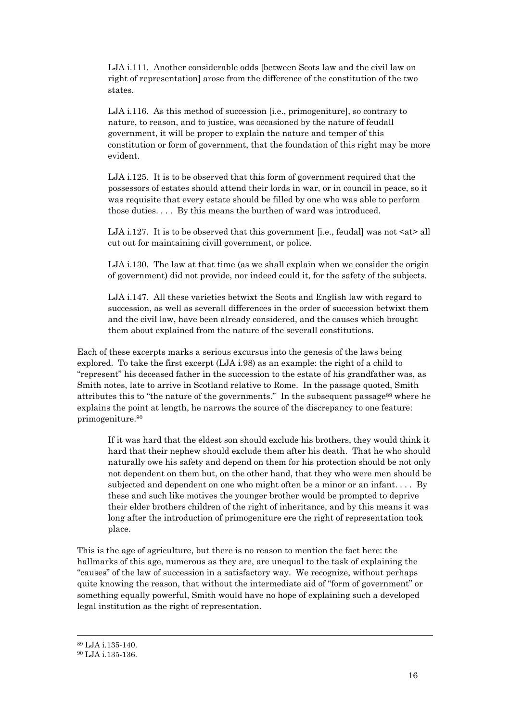LJA i.111. Another considerable odds [between Scots law and the civil law on right of representation] arose from the difference of the constitution of the two states.

LJA i.116. As this method of succession [i.e., primogeniture], so contrary to nature, to reason, and to justice, was occasioned by the nature of feudall government, it will be proper to explain the nature and temper of this constitution or form of government, that the foundation of this right may be more evident.

LJA i.125. It is to be observed that this form of government required that the possessors of estates should attend their lords in war, or in council in peace, so it was requisite that every estate should be filled by one who was able to perform those duties. . . . By this means the burthen of ward was introduced.

LJA i.127. It is to be observed that this government [i.e., feudal] was not  $\langle$ at $\rangle$  all cut out for maintaining civill government, or police.

LJA i.130. The law at that time (as we shall explain when we consider the origin of government) did not provide, nor indeed could it, for the safety of the subjects.

LJA i.147. All these varieties betwixt the Scots and English law with regard to succession, as well as severall differences in the order of succession betwixt them and the civil law, have been already considered, and the causes which brought them about explained from the nature of the severall constitutions.

Each of these excerpts marks a serious excursus into the genesis of the laws being explored. To take the first excerpt (LJA i.98) as an example: the right of a child to "represent" his deceased father in the succession to the estate of his grandfather was, as Smith notes, late to arrive in Scotland relative to Rome. In the passage quoted, Smith attributes this to "the nature of the governments." In the subsequent passage<sup>89</sup> where he explains the point at length, he narrows the source of the discrepancy to one feature: primogeniture.90

If it was hard that the eldest son should exclude his brothers, they would think it hard that their nephew should exclude them after his death. That he who should naturally owe his safety and depend on them for his protection should be not only not dependent on them but, on the other hand, that they who were men should be subjected and dependent on one who might often be a minor or an infant. . . . By these and such like motives the younger brother would be prompted to deprive their elder brothers children of the right of inheritance, and by this means it was long after the introduction of primogeniture ere the right of representation took place.

This is the age of agriculture, but there is no reason to mention the fact here: the hallmarks of this age, numerous as they are, are unequal to the task of explaining the "causes" of the law of succession in a satisfactory way. We recognize, without perhaps quite knowing the reason, that without the intermediate aid of "form of government" or something equally powerful, Smith would have no hope of explaining such a developed legal institution as the right of representation.

<sup>89</sup> LJA i.135-140.

<sup>90</sup> LJA i.135-136.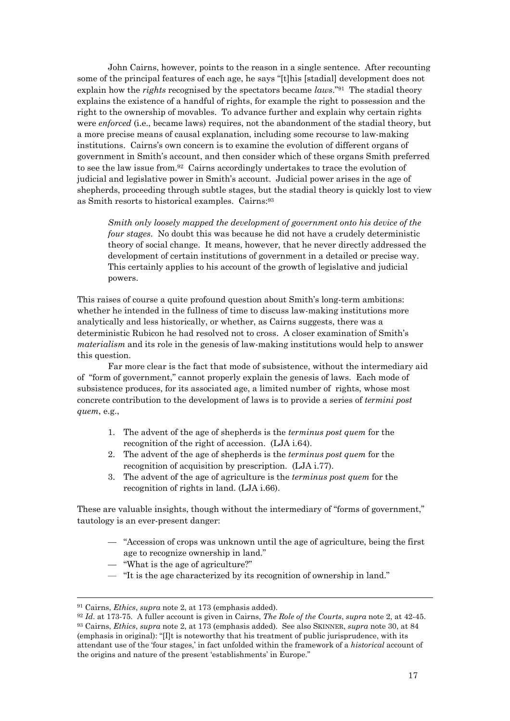John Cairns, however, points to the reason in a single sentence. After recounting some of the principal features of each age, he says "[t]his [stadial] development does not explain how the *rights* recognised by the spectators became *laws*."91 The stadial theory explains the existence of a handful of rights, for example the right to possession and the right to the ownership of movables. To advance further and explain why certain rights were *enforced* (i.e., became laws) requires, not the abandonment of the stadial theory, but a more precise means of causal explanation, including some recourse to law-making institutions. Cairns's own concern is to examine the evolution of different organs of government in Smith's account, and then consider which of these organs Smith preferred to see the law issue from.92 Cairns accordingly undertakes to trace the evolution of judicial and legislative power in Smith's account. Judicial power arises in the age of shepherds, proceeding through subtle stages, but the stadial theory is quickly lost to view as Smith resorts to historical examples. Cairns:93

*Smith only loosely mapped the development of government onto his device of the four stages*. No doubt this was because he did not have a crudely deterministic theory of social change. It means, however, that he never directly addressed the development of certain institutions of government in a detailed or precise way. This certainly applies to his account of the growth of legislative and judicial powers.

This raises of course a quite profound question about Smith's long-term ambitions: whether he intended in the fullness of time to discuss law-making institutions more analytically and less historically, or whether, as Cairns suggests, there was a deterministic Rubicon he had resolved not to cross. A closer examination of Smith's *materialism* and its role in the genesis of law-making institutions would help to answer this question.

Far more clear is the fact that mode of subsistence, without the intermediary aid of "form of government," cannot properly explain the genesis of laws. Each mode of subsistence produces, for its associated age, a limited number of rights, whose most concrete contribution to the development of laws is to provide a series of *termini post quem*, e.g.,

- 1. The advent of the age of shepherds is the *terminus post quem* for the recognition of the right of accession. (LJA i.64).
- 2. The advent of the age of shepherds is the *terminus post quem* for the recognition of acquisition by prescription. (LJA i.77).
- 3. The advent of the age of agriculture is the *terminus post quem* for the recognition of rights in land. (LJA i.66).

These are valuable insights, though without the intermediary of "forms of government," tautology is an ever-present danger:

- "Accession of crops was unknown until the age of agriculture, being the first age to recognize ownership in land."
- "What is the age of agriculture?"
- "It is the age characterized by its recognition of ownership in land."

<sup>&</sup>lt;sup>91</sup> Cairns, *Ethics*, *supra* note 2, at 173 (emphasis added).<br><sup>92</sup> Id. at 173-75. A fuller account is given in Cairns, *The Role of the Courts*, *supra* note 2, at 42-45.<br><sup>93</sup> Cairns, *Ethics*, *supra* note 2, at 173 (e (emphasis in original): "[I]t is noteworthy that his treatment of public jurisprudence, with its attendant use of the 'four stages,' in fact unfolded within the framework of a *historical* account of the origins and nature of the present 'establishments' in Europe."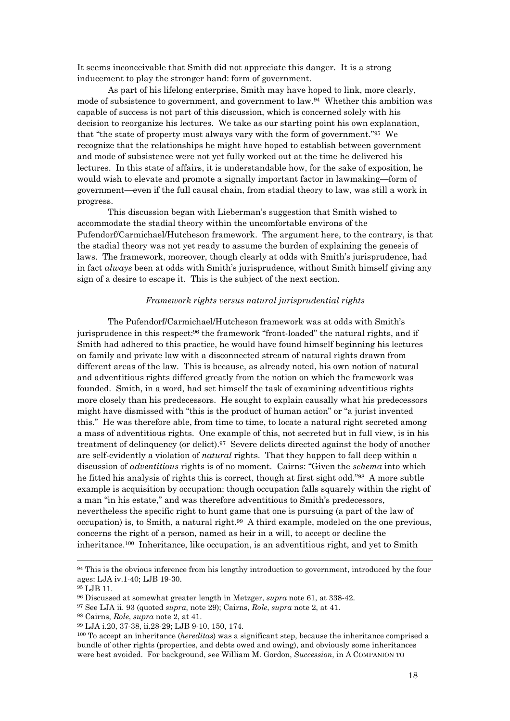It seems inconceivable that Smith did not appreciate this danger. It is a strong inducement to play the stronger hand: form of government.

As part of his lifelong enterprise, Smith may have hoped to link, more clearly, mode of subsistence to government, and government to law.94 Whether this ambition was capable of success is not part of this discussion, which is concerned solely with his decision to reorganize his lectures. We take as our starting point his own explanation, that "the state of property must always vary with the form of government."95 We recognize that the relationships he might have hoped to establish between government and mode of subsistence were not yet fully worked out at the time he delivered his lectures. In this state of affairs, it is understandable how, for the sake of exposition, he would wish to elevate and promote a signally important factor in lawmaking—form of government—even if the full causal chain, from stadial theory to law, was still a work in progress.

This discussion began with Lieberman's suggestion that Smith wished to accommodate the stadial theory within the uncomfortable environs of the Pufendorf/Carmichael/Hutcheson framework. The argument here, to the contrary, is that the stadial theory was not yet ready to assume the burden of explaining the genesis of laws. The framework, moreover, though clearly at odds with Smith's jurisprudence, had in fact *always* been at odds with Smith's jurisprudence, without Smith himself giving any sign of a desire to escape it. This is the subject of the next section.

#### *Framework rights versus natural jurisprudential rights*

The Pufendorf/Carmichael/Hutcheson framework was at odds with Smith's jurisprudence in this respect:96 the framework "front-loaded" the natural rights, and if Smith had adhered to this practice, he would have found himself beginning his lectures on family and private law with a disconnected stream of natural rights drawn from different areas of the law. This is because, as already noted, his own notion of natural and adventitious rights differed greatly from the notion on which the framework was founded. Smith, in a word, had set himself the task of examining adventitious rights more closely than his predecessors. He sought to explain causally what his predecessors might have dismissed with "this is the product of human action" or "a jurist invented this." He was therefore able, from time to time, to locate a natural right secreted among a mass of adventitious rights. One example of this, not secreted but in full view, is in his treatment of delinquency (or delict).97 Severe delicts directed against the body of another are self-evidently a violation of *natural* rights. That they happen to fall deep within a discussion of *adventitious* rights is of no moment. Cairns: "Given the *schema* into which he fitted his analysis of rights this is correct, though at first sight odd."98 A more subtle example is acquisition by occupation: though occupation falls squarely within the right of a man "in his estate," and was therefore adventitious to Smith's predecessors, nevertheless the specific right to hunt game that one is pursuing (a part of the law of occupation) is, to Smith, a natural right.99 A third example, modeled on the one previous, concerns the right of a person, named as heir in a will, to accept or decline the inheritance.100 Inheritance, like occupation, is an adventitious right, and yet to Smith

<sup>&</sup>lt;sup>94</sup> This is the obvious inference from his lengthy introduction to government, introduced by the four ages: LJA iv.1-40; LJB 19-30.

<sup>95</sup> LJB 11.

<sup>&</sup>lt;sup>96</sup> Discussed at somewhat greater length in Metzger, *supra* note 61, at 338-42.<br><sup>97</sup> See LJA ii. 93 (quoted *supra*, note 29); Cairns, *Role*, *supra* note 2, at 41.<br><sup>98</sup> Cairns, *Role*, *supra* note 2, at 41.<br><sup>99</sup> LJA bundle of other rights (properties, and debts owed and owing), and obviously some inheritances were best avoided. For background, see William M. Gordon, *Succession*, in A COMPANION TO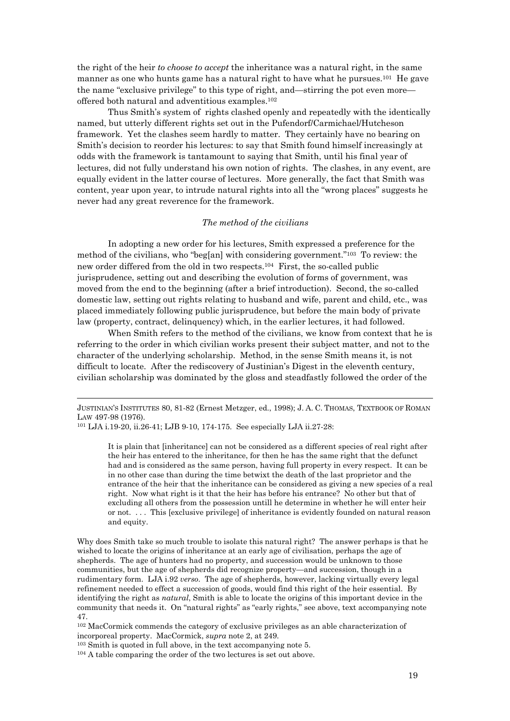the right of the heir *to choose to accept* the inheritance was a natural right, in the same manner as one who hunts game has a natural right to have what he pursues.101 He gave the name "exclusive privilege" to this type of right, and—stirring the pot even more offered both natural and adventitious examples.102

 Thus Smith's system of rights clashed openly and repeatedly with the identically named, but utterly different rights set out in the Pufendorf/Carmichael/Hutcheson framework. Yet the clashes seem hardly to matter. They certainly have no bearing on Smith's decision to reorder his lectures: to say that Smith found himself increasingly at odds with the framework is tantamount to saying that Smith, until his final year of lectures, did not fully understand his own notion of rights. The clashes, in any event, are equally evident in the latter course of lectures. More generally, the fact that Smith was content, year upon year, to intrude natural rights into all the "wrong places" suggests he never had any great reverence for the framework.

### *The method of the civilians*

In adopting a new order for his lectures, Smith expressed a preference for the method of the civilians, who "beg[an] with considering government."103 To review: the new order differed from the old in two respects.104 First, the so-called public jurisprudence, setting out and describing the evolution of forms of government, was moved from the end to the beginning (after a brief introduction). Second, the so-called domestic law, setting out rights relating to husband and wife, parent and child, etc., was placed immediately following public jurisprudence, but before the main body of private law (property, contract, delinquency) which, in the earlier lectures, it had followed.

When Smith refers to the method of the civilians, we know from context that he is referring to the order in which civilian works present their subject matter, and not to the character of the underlying scholarship. Method, in the sense Smith means it, is not difficult to locate. After the rediscovery of Justinian's Digest in the eleventh century, civilian scholarship was dominated by the gloss and steadfastly followed the order of the

 $\overline{a}$ 

It is plain that [inheritance] can not be considered as a different species of real right after the heir has entered to the inheritance, for then he has the same right that the defunct had and is considered as the same person, having full property in every respect. It can be in no other case than during the time betwixt the death of the last proprietor and the entrance of the heir that the inheritance can be considered as giving a new species of a real right. Now what right is it that the heir has before his entrance? No other but that of excluding all others from the possession untill he determine in whether he will enter heir or not. . . . This [exclusive privilege] of inheritance is evidently founded on natural reason and equity.

Why does Smith take so much trouble to isolate this natural right? The answer perhaps is that he wished to locate the origins of inheritance at an early age of civilisation, perhaps the age of shepherds. The age of hunters had no property, and succession would be unknown to those communities, but the age of shepherds did recognize property—and succession, though in a rudimentary form. LJA i.92 *verso*. The age of shepherds, however, lacking virtually every legal refinement needed to effect a succession of goods, would find this right of the heir essential. By identifying the right as *natural*, Smith is able to locate the origins of this important device in the community that needs it. On "natural rights" as "early rights," see above, text accompanying note 47.

102 MacCormick commends the category of exclusive privileges as an able characterization of incorporeal property. MacCormick, *supra* note 2, at 249.<br><sup>103</sup> Smith is quoted in full above, in the text accompanying note 5.<br><sup>104</sup> A table comparing the order of the two lectures is set out above.

JUSTINIAN'S INSTITUTES 80, 81-82 (Ernest Metzger, ed., 1998); J. A. C. THOMAS, TEXTBOOK OF ROMAN LAW 497-98 (1976).<br><sup>101</sup> LJA i.19-20, ii.26-41; LJB 9-10, 174-175. See especially LJA ii.27-28: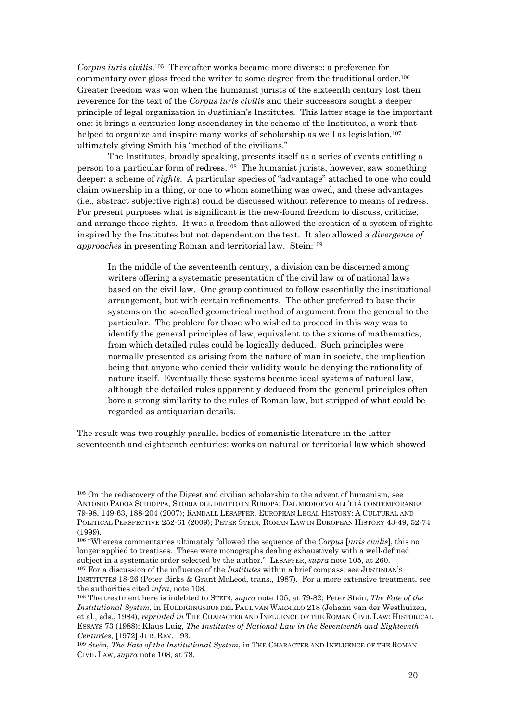*Corpus iuris civilis*.105 Thereafter works became more diverse: a preference for commentary over gloss freed the writer to some degree from the traditional order.106 Greater freedom was won when the humanist jurists of the sixteenth century lost their reverence for the text of the *Corpus iuris civilis* and their successors sought a deeper principle of legal organization in Justinian's Institutes. This latter stage is the important one: it brings a centuries-long ascendancy in the scheme of the Institutes, a work that helped to organize and inspire many works of scholarship as well as legislation,<sup>107</sup> ultimately giving Smith his "method of the civilians."

 The Institutes, broadly speaking, presents itself as a series of events entitling a person to a particular form of redress.108 The humanist jurists, however, saw something deeper: a scheme of *rights*. A particular species of "advantage" attached to one who could claim ownership in a thing, or one to whom something was owed, and these advantages (i.e., abstract subjective rights) could be discussed without reference to means of redress. For present purposes what is significant is the new-found freedom to discuss, criticize, and arrange these rights. It was a freedom that allowed the creation of a system of rights inspired by the Institutes but not dependent on the text. It also allowed a *divergence of approaches* in presenting Roman and territorial law. Stein:<sup>109</sup>

In the middle of the seventeenth century, a division can be discerned among writers offering a systematic presentation of the civil law or of national laws based on the civil law. One group continued to follow essentially the institutional arrangement, but with certain refinements. The other preferred to base their systems on the so-called geometrical method of argument from the general to the particular. The problem for those who wished to proceed in this way was to identify the general principles of law, equivalent to the axioms of mathematics, from which detailed rules could be logically deduced. Such principles were normally presented as arising from the nature of man in society, the implication being that anyone who denied their validity would be denying the rationality of nature itself. Eventually these systems became ideal systems of natural law, although the detailed rules apparently deduced from the general principles often bore a strong similarity to the rules of Roman law, but stripped of what could be regarded as antiquarian details.

The result was two roughly parallel bodies of romanistic literature in the latter seventeenth and eighteenth centuries: works on natural or territorial law which showed

<sup>105</sup> On the rediscovery of the Digest and civilian scholarship to the advent of humanism, see ANTONIO PADOA SCHIOPPA, STORIA DEL DIRITTO IN EUROPA: DAL MEDIOEVO ALL'ETÀ CONTEMPORANEA 79-98, 149-63, 188-204 (2007); RANDALL LESAFFER, EUROPEAN LEGAL HISTORY: A CULTURAL AND POLITICAL PERSPECTIVE 252-61 (2009); PETER STEIN, ROMAN LAW IN EUROPEAN HISTORY 43-49, 52-74 (1999).

<sup>106 &</sup>quot;Whereas commentaries ultimately followed the sequence of the *Corpus* [*iuris civilis*], this no longer applied to treatises. These were monographs dealing exhaustively with a well-defined subject in a systematic order selected by the author." LESAFFER, *supra* note 105, at 260. 107 For a discussion of the influence of the *Institutes* within a brief compass, see JUSTINIAN'S

INSTITUTES 18-26 (Peter Birks & Grant McLeod, trans., 1987). For a more extensive treatment, see the authorities cited *infra*, note 108.<br><sup>108</sup> The treatment here is indebted to STEIN, *supra* note 105, at 79-82; Peter Stein, *The Fate of the* 

*Institutional System*, in HULDIGINGSBUNDEL PAUL VAN WARMELO 218 (Johann van der Westhuizen, et al., eds., 1984), *reprinted in* THE CHARACTER AND INFLUENCE OF THE ROMAN CIVIL LAW: HISTORICAL ESSAYS 73 (1988); Klaus Luig, *The Institutes of National Law in the Seventeenth and Eighteenth Centuries*, [1972] JUR. REV. 193.<br><sup>109</sup> Stein, *The Fate of the Institutional System*, in THE CHARACTER AND INFLUENCE OF THE ROMAN

CIVIL LAW, *supra* note 108, at 78.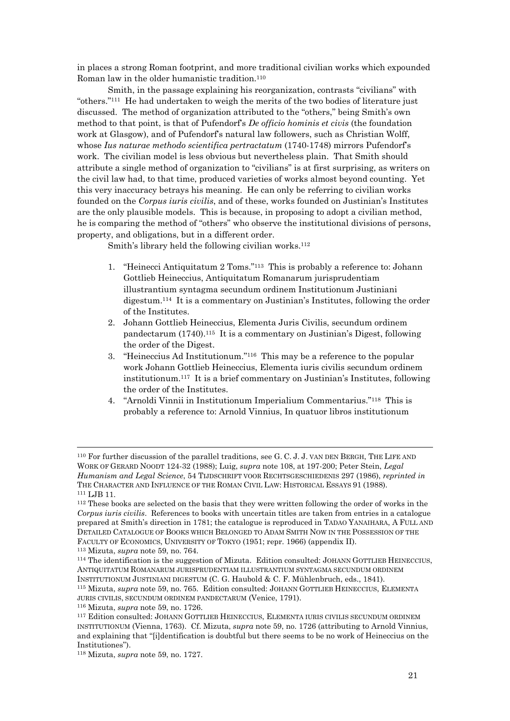in places a strong Roman footprint, and more traditional civilian works which expounded Roman law in the older humanistic tradition.110

 Smith, in the passage explaining his reorganization, contrasts "civilians" with "others."111 He had undertaken to weigh the merits of the two bodies of literature just discussed. The method of organization attributed to the "others," being Smith's own method to that point, is that of Pufendorf's *De officio hominis et civis* (the foundation work at Glasgow), and of Pufendorf's natural law followers, such as Christian Wolff, whose *Ius naturae methodo scientifica pertractatum* (1740-1748) mirrors Pufendorf's work. The civilian model is less obvious but nevertheless plain. That Smith should attribute a single method of organization to "civilians" is at first surprising, as writers on the civil law had, to that time, produced varieties of works almost beyond counting. Yet this very inaccuracy betrays his meaning. He can only be referring to civilian works founded on the *Corpus iuris civilis*, and of these, works founded on Justinian's Institutes are the only plausible models. This is because, in proposing to adopt a civilian method, he is comparing the method of "others" who observe the institutional divisions of persons, property, and obligations, but in a different order.

Smith's library held the following civilian works.<sup>112</sup>

- 1. "Heinecci Antiquitatum 2 Toms."113 This is probably a reference to: Johann Gottlieb Heineccius, Antiquitatum Romanarum jurisprudentiam illustrantium syntagma secundum ordinem Institutionum Justiniani digestum.114 It is a commentary on Justinian's Institutes, following the order of the Institutes.
- 2. Johann Gottlieb Heineccius, Elementa Juris Civilis, secundum ordinem pandectarum (1740).115 It is a commentary on Justinian's Digest, following the order of the Digest.
- 3. "Heineccius Ad Institutionum."116 This may be a reference to the popular work Johann Gottlieb Heineccius, Elementa iuris civilis secundum ordinem institutionum.117 It is a brief commentary on Justinian's Institutes, following the order of the Institutes.
- 4. "Arnoldi Vinnii in Institutionum Imperialium Commentarius."118 This is probably a reference to: Arnold Vinnius, In quatuor libros institutionum

JURIS CIVILIS, SECUNDUM ORDINEM PANDECTARUM (Venice, 1791).<br><sup>116</sup> Mizuta, *supra* note 59, no. 1726.<br><sup>117</sup> Edition consulted: JOHANN GOTTLIEB HEINECCIUS, ELEMENTA IURIS CIVILIS SECUNDUM ORDINEM

<sup>110</sup> For further discussion of the parallel traditions, see G. C. J. J. VAN DEN BERGH, THE LIFE AND WORK OF GERARD NOODT 124-32 (1988); Luig, *supra* note 108, at 197-200; Peter Stein, *Legal Humanism and Legal Science*, 54 TIJDSCHRIFT VOOR RECHTSGESCHIEDENIS 297 (1986), *reprinted in* THE CHARACTER AND INFLUENCE OF THE ROMAN CIVIL LAW: HISTORICAL ESSAYS 91 (1988).<br><sup>111</sup> LJB 11. 112 These books are selected on the basis that they were written following the order of works in the

*Corpus iuris civilis*. References to books with uncertain titles are taken from entries in a catalogue prepared at Smith's direction in 1781; the catalogue is reproduced in TADAO YANAIHARA, A FULL AND DETAILED CATALOGUE OF BOOKS WHICH BELONGED TO ADAM SMITH NOW IN THE POSSESSION OF THE FACULTY OF ECONOMICS, UNIVERSITY OF TOKYO (1951; repr. 1966) (appendix II).<br><sup>113</sup> Mizuta, *supra* note 59, no. 764.<br><sup>114</sup> The identification is the suggestion of Mizuta. Edition consulted: JOHANN GOTTLIEB HEINECCIUS,

ANTIQUITATUM ROMANARUM JURISPRUDENTIAM ILLUSTRANTIUM SYNTAGMA SECUNDUM ORDINEM INSTITUTIONUM JUSTINIANI DIGESTUM (C. G. Haubold & C. F. Mühlenbruch, eds., 1841). 115 Mizuta, *supra* note 59, no. 765. Edition consulted: JOHANN GOTTLIEB HEINECCIUS, ELEMENTA

INSTITUTIONUM (Vienna, 1763). Cf. Mizuta, *supra* note 59, no. 1726 (attributing to Arnold Vinnius, and explaining that "[i]dentification is doubtful but there seems to be no work of Heineccius on the Institutiones").

<sup>118</sup> Mizuta, *supra* note 59, no. 1727.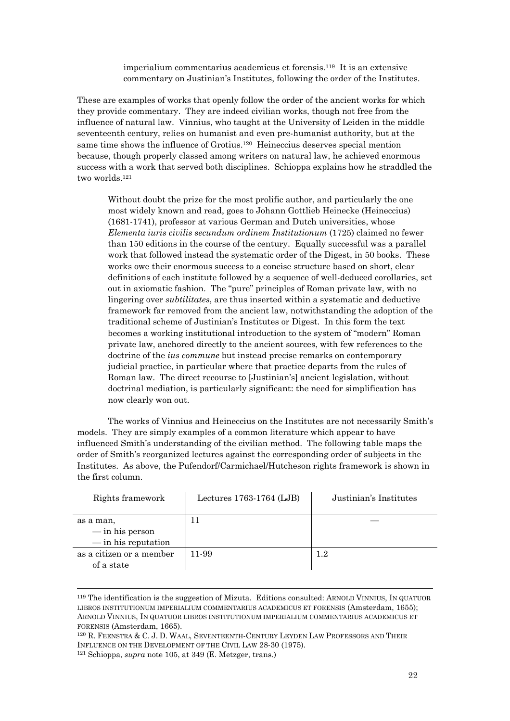imperialium commentarius academicus et forensis.119 It is an extensive commentary on Justinian's Institutes, following the order of the Institutes.

These are examples of works that openly follow the order of the ancient works for which they provide commentary. They are indeed civilian works, though not free from the influence of natural law. Vinnius, who taught at the University of Leiden in the middle seventeenth century, relies on humanist and even pre-humanist authority, but at the same time shows the influence of Grotius.120 Heineccius deserves special mention because, though properly classed among writers on natural law, he achieved enormous success with a work that served both disciplines. Schioppa explains how he straddled the two worlds.121

Without doubt the prize for the most prolific author, and particularly the one most widely known and read, goes to Johann Gottlieb Heinecke (Heineccius) (1681-1741), professor at various German and Dutch universities, whose *Elementa iuris civilis secundum ordinem Institutionum* (1725) claimed no fewer than 150 editions in the course of the century. Equally successful was a parallel work that followed instead the systematic order of the Digest, in 50 books. These works owe their enormous success to a concise structure based on short, clear definitions of each institute followed by a sequence of well-deduced corollaries, set out in axiomatic fashion. The "pure" principles of Roman private law, with no lingering over *subtilitates*, are thus inserted within a systematic and deductive framework far removed from the ancient law, notwithstanding the adoption of the traditional scheme of Justinian's Institutes or Digest. In this form the text becomes a working institutional introduction to the system of "modern" Roman private law, anchored directly to the ancient sources, with few references to the doctrine of the *ius commune* but instead precise remarks on contemporary judicial practice, in particular where that practice departs from the rules of Roman law. The direct recourse to [Justinian's] ancient legislation, without doctrinal mediation, is particularly significant: the need for simplification has now clearly won out.

The works of Vinnius and Heineccius on the Institutes are not necessarily Smith's models. They are simply examples of a common literature which appear to have influenced Smith's understanding of the civilian method. The following table maps the order of Smith's reorganized lectures against the corresponding order of subjects in the Institutes. As above, the Pufendorf/Carmichael/Hutcheson rights framework is shown in the first column.

| Rights framework                                               | Lectures 1763-1764 (LJB) | Justinian's Institutes |
|----------------------------------------------------------------|--------------------------|------------------------|
| as a man,<br>$-\infty$ in his person<br>$-\sin$ his reputation |                          |                        |
| as a citizen or a member<br>of a state                         | 11-99                    | $1.2\,$                |

<sup>119</sup> The identification is the suggestion of Mizuta. Editions consulted: ARNOLD VINNIUS, IN QUATUOR LIBROS INSTITUTIONUM IMPERIALIUM COMMENTARIUS ACADEMICUS ET FORENSIS (Amsterdam, 1655); ARNOLD VINNIUS, IN QUATUOR LIBROS INSTITUTIONUM IMPERIALIUM COMMENTARIUS ACADEMICUS ET FORENSIS (Amsterdam, 1665).<br><sup>120</sup> R. FEENSTRA & C. J. D. WAAL, SEVENTEENTH-CENTURY LEYDEN LAW PROFESSORS AND THEIR

INFLUENCE ON THE DEVELOPMENT OF THE CIVIL LAW 28-30 (1975). 121 Schioppa, *supra* note 105, at 349 (E. Metzger, trans.)